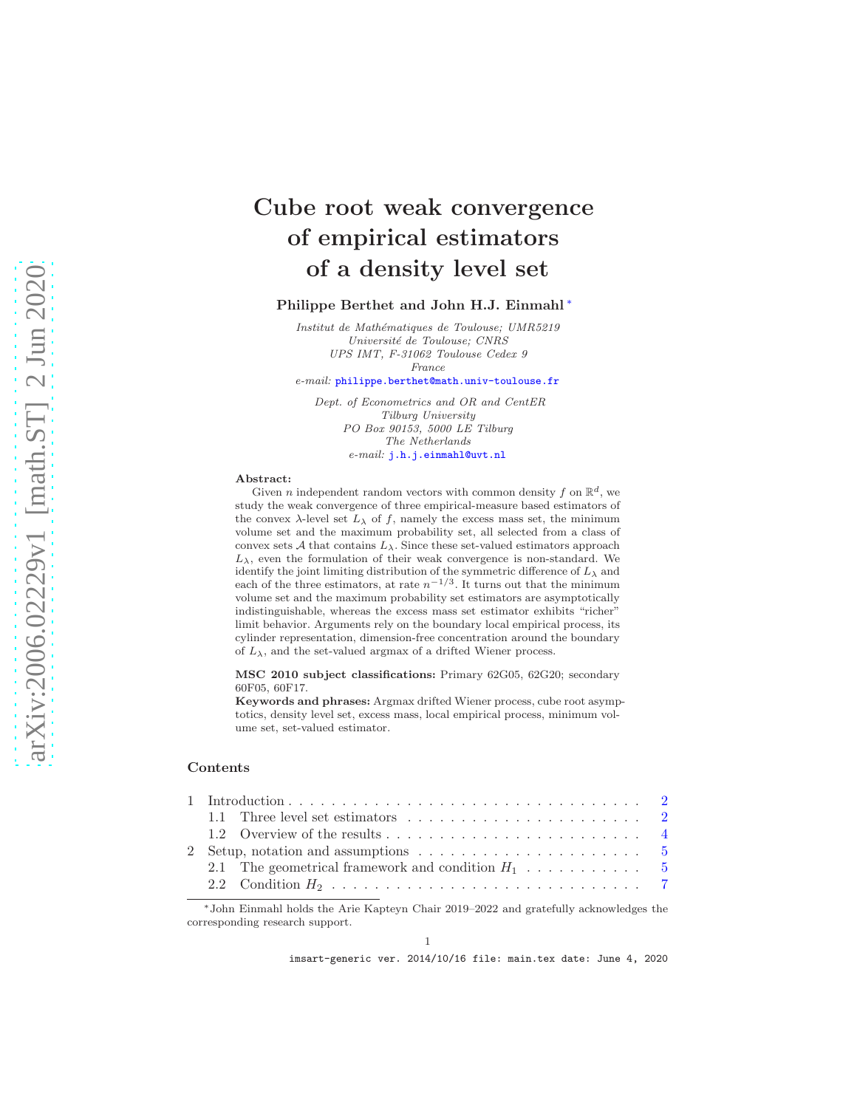# Cube root weak convergence of empirical estimators of a density level set

#### Philippe Berthet and John H.J. Einmahl [∗](#page-0-0)

*Institut de Math´ematiques de Toulouse; UMR5219 Universit´e de Toulouse; CNRS UPS IMT, F-31062 Toulouse Cedex 9 France*

*e-mail:* [philippe.berthet@math.univ-toulouse.fr](mailto:philippe.berthet@math.univ-toulouse.fr)

*Dept. of Econometrics and OR and CentER Tilburg University PO Box 90153, 5000 LE Tilburg The Netherlands e-mail:* [j.h.j.einmahl@uvt.nl](mailto:j.h.j.einmahl@uvt.nl)

#### Abstract:

Given *n* independent random vectors with common density f on  $\mathbb{R}^d$ , we study the weak convergence of three empirical-measure based estimators of the convex  $\lambda$ -level set  $L_{\lambda}$  of f, namely the excess mass set, the minimum volume set and the maximum probability set, all selected from a class of convex sets  ${\mathcal A}$  that contains  $L_\lambda$ . Since these set-valued estimators approach  $L_{\lambda}$ , even the formulation of their weak convergence is non-standard. We identify the joint limiting distribution of the symmetric difference of  $L_{\lambda}$  and each of the three estimators, at rate  $n^{-1/3}$ . It turns out that the minimum volume set and the maximum probability set estimators are asymptotically indistinguishable, whereas the excess mass set estimator exhibits "richer" limit behavior. Arguments rely on the boundary local empirical process, its cylinder representation, dimension-free concentration around the boundary of  $L_{\lambda}$ , and the set-valued argmax of a drifted Wiener process.

MSC 2010 subject classifications: Primary 62G05, 62G20; secondary 60F05, 60F17.

Keywords and phrases: Argmax drifted Wiener process, cube root asymptotics, density level set, excess mass, local empirical process, minimum volume set, set-valued estimator.

#### Contents

<span id="page-0-0"></span><sup>∗</sup>John Einmahl holds the Arie Kapteyn Chair 2019–2022 and gratefully acknowledges the corresponding research support.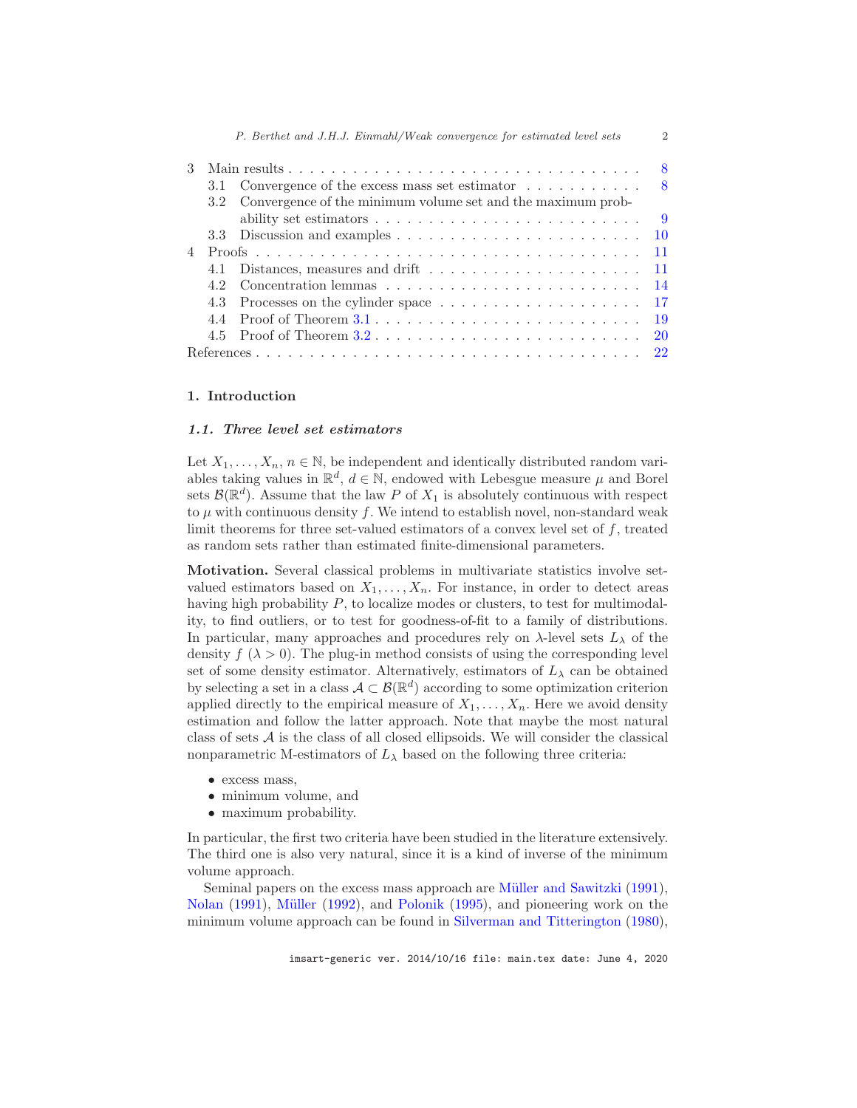|  |     | 3.1 Convergence of the excess mass set estimator $\dots \dots \dots$ 8                       |  |
|--|-----|----------------------------------------------------------------------------------------------|--|
|  |     | 3.2 Convergence of the minimum volume set and the maximum prob-                              |  |
|  |     | ability set estimators $\dots \dots \dots \dots \dots \dots \dots \dots \dots \dots \dots$   |  |
|  |     |                                                                                              |  |
|  |     |                                                                                              |  |
|  |     |                                                                                              |  |
|  | 4.2 |                                                                                              |  |
|  |     |                                                                                              |  |
|  |     |                                                                                              |  |
|  |     | 4.5 Proof of Theorem $3.2 \ldots \ldots \ldots \ldots \ldots \ldots \ldots \ldots \ldots 20$ |  |
|  |     |                                                                                              |  |

#### <span id="page-1-1"></span><span id="page-1-0"></span>1. Introduction

# 1.1. Three level set estimators

Let  $X_1, \ldots, X_n, n \in \mathbb{N}$ , be independent and identically distributed random variables taking values in  $\mathbb{R}^d$ ,  $d \in \mathbb{N}$ , endowed with Lebesgue measure  $\mu$  and Borel sets  $\mathcal{B}(\mathbb{R}^d)$ . Assume that the law P of  $X_1$  is absolutely continuous with respect to  $\mu$  with continuous density f. We intend to establish novel, non-standard weak limit theorems for three set-valued estimators of a convex level set of f, treated as random sets rather than estimated finite-dimensional parameters.

Motivation. Several classical problems in multivariate statistics involve setvalued estimators based on  $X_1, \ldots, X_n$ . For instance, in order to detect areas having high probability P, to localize modes or clusters, to test for multimodality, to find outliers, or to test for goodness-of-fit to a family of distributions. In particular, many approaches and procedures rely on  $\lambda$ -level sets  $L_{\lambda}$  of the density  $f(\lambda > 0)$ . The plug-in method consists of using the corresponding level set of some density estimator. Alternatively, estimators of  $L_{\lambda}$  can be obtained by selecting a set in a class  $\mathcal{A} \subset \mathcal{B}(\mathbb{R}^d)$  according to some optimization criterion applied directly to the empirical measure of  $X_1, \ldots, X_n$ . Here we avoid density estimation and follow the latter approach. Note that maybe the most natural class of sets  $A$  is the class of all closed ellipsoids. We will consider the classical nonparametric M-estimators of  $L_{\lambda}$  based on the following three criteria:

- excess mass,
- minimum volume, and
- maximum probability.

In particular, the first two criteria have been studied in the literature extensively. The third one is also very natural, since it is a kind of inverse of the minimum volume approach.

Seminal papers on the excess mass approach are Müller and Sawitzki [\(1991\)](#page-22-0), [Nolan](#page-22-1) [\(1991](#page-22-1)), [M¨uller](#page-22-2) [\(1992](#page-22-2)), and [Polonik](#page-22-3) [\(1995](#page-22-3)), and pioneering work on the minimum volume approach can be found in [Silverman and Titterington](#page-22-4) [\(1980\)](#page-22-4),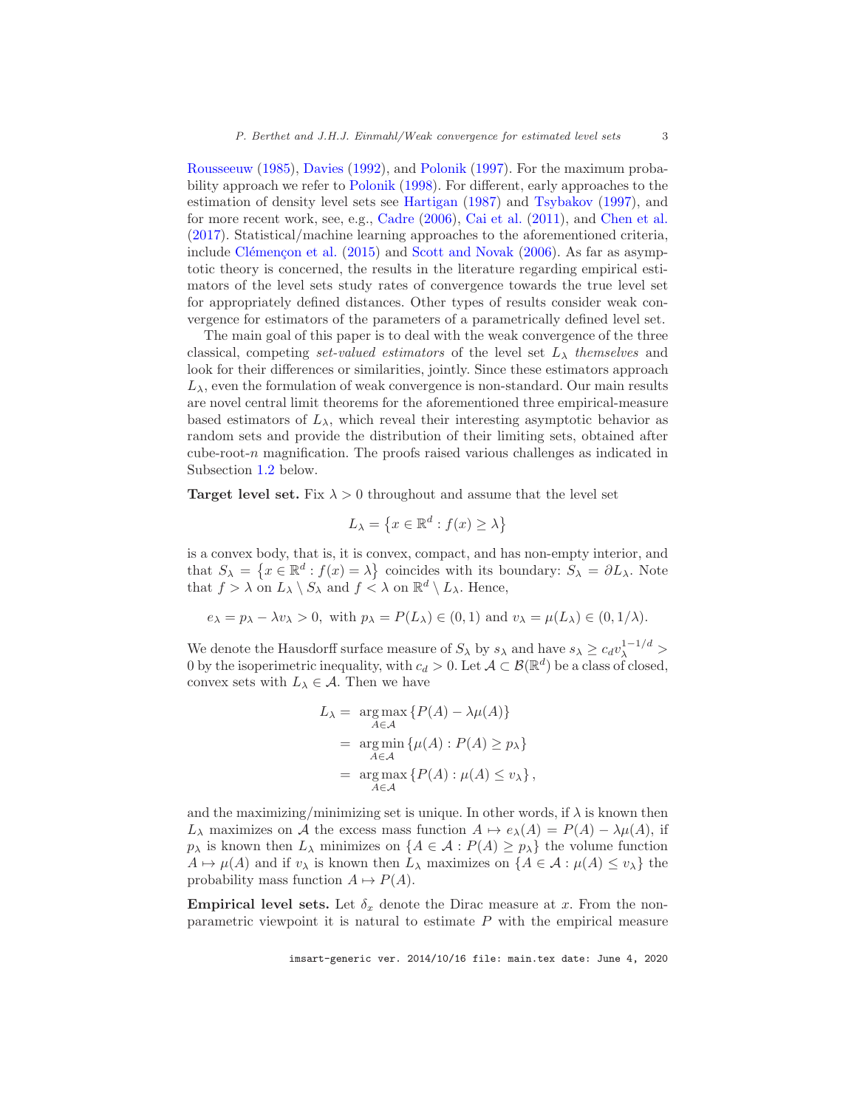[Rousseeuw](#page-22-5) [\(1985\)](#page-22-5), [Davies](#page-22-6) [\(1992](#page-22-6)), and [Polonik](#page-22-7) [\(1997\)](#page-22-7). For the maximum probability approach we refer to [Polonik](#page-22-8) [\(1998](#page-22-8)). For different, early approaches to the estimation of density level sets see [Hartigan](#page-22-9) [\(1987\)](#page-22-9) and [Tsybakov](#page-22-10) [\(1997](#page-22-10)), and for more recent work, see, e.g., [Cadre](#page-21-1) [\(2006\)](#page-21-1), [Cai et al.](#page-21-2) [\(2011](#page-21-2)), and [Chen et al.](#page-21-3) [\(2017\)](#page-21-3). Statistical/machine learning approaches to the aforementioned criteria, include Clémençon et al.  $(2015)$  $(2015)$  and [Scott and Novak](#page-22-11)  $(2006)$  $(2006)$ . As far as asymptotic theory is concerned, the results in the literature regarding empirical estimators of the level sets study rates of convergence towards the true level set for appropriately defined distances. Other types of results consider weak convergence for estimators of the parameters of a parametrically defined level set.

The main goal of this paper is to deal with the weak convergence of the three classical, competing *set-valued estimators* of the level set  $L<sub>\lambda</sub>$  *themselves* and look for their differences or similarities, jointly. Since these estimators approach  $L_{\lambda}$ , even the formulation of weak convergence is non-standard. Our main results are novel central limit theorems for the aforementioned three empirical-measure based estimators of  $L_{\lambda}$ , which reveal their interesting asymptotic behavior as random sets and provide the distribution of their limiting sets, obtained after cube-root-n magnification. The proofs raised various challenges as indicated in Subsection [1.2](#page-3-0) below.

**Target level set.** Fix  $\lambda > 0$  throughout and assume that the level set

$$
L_{\lambda} = \left\{ x \in \mathbb{R}^d : f(x) \ge \lambda \right\}
$$

is a convex body, that is, it is convex, compact, and has non-empty interior, and that  $S_{\lambda} = \{x \in \mathbb{R}^d : f(x) = \lambda\}$  coincides with its boundary:  $S_{\lambda} = \partial L_{\lambda}$ . Note that  $f > \lambda$  on  $L_{\lambda} \setminus S_{\lambda}$  and  $f < \lambda$  on  $\mathbb{R}^d \setminus L_{\lambda}$ . Hence,

$$
e_{\lambda} = p_{\lambda} - \lambda v_{\lambda} > 0
$$
, with  $p_{\lambda} = P(L_{\lambda}) \in (0, 1)$  and  $v_{\lambda} = \mu(L_{\lambda}) \in (0, 1/\lambda)$ .

We denote the Hausdorff surface measure of  $S_\lambda$  by  $s_\lambda$  and have  $s_\lambda \geq c_d v_\lambda^{1-1/d} >$ 0 by the isoperimetric inequality, with  $c_d > 0$ . Let  $\mathcal{A} \subset \mathcal{B}(\mathbb{R}^d)$  be a class of closed, convex sets with  $L_{\lambda} \in \mathcal{A}$ . Then we have

$$
L_{\lambda} = \underset{A \in \mathcal{A}}{\arg \max} \{ P(A) - \lambda \mu(A) \}
$$
  
= 
$$
\underset{A \in \mathcal{A}}{\arg \min} \{ \mu(A) : P(A) \ge p_{\lambda} \}
$$
  
= 
$$
\underset{A \in \mathcal{A}}{\arg \max} \{ P(A) : \mu(A) \le v_{\lambda} \},
$$

and the maximizing/minimizing set is unique. In other words, if  $\lambda$  is known then  $L_\lambda$  maximizes on A the excess mass function  $A \mapsto e_\lambda(A) = P(A) - \lambda \mu(A)$ , if  $p_{\lambda}$  is known then  $L_{\lambda}$  minimizes on  $\{A \in \mathcal{A} : P(A) \geq p_{\lambda}\}\)$  the volume function  $A \mapsto \mu(A)$  and if  $v_\lambda$  is known then  $L_\lambda$  maximizes on  $\{A \in \mathcal{A} : \mu(A) \le v_\lambda\}$  the probability mass function  $A \mapsto P(A)$ .

**Empirical level sets.** Let  $\delta_x$  denote the Dirac measure at x. From the nonparametric viewpoint it is natural to estimate  $P$  with the empirical measure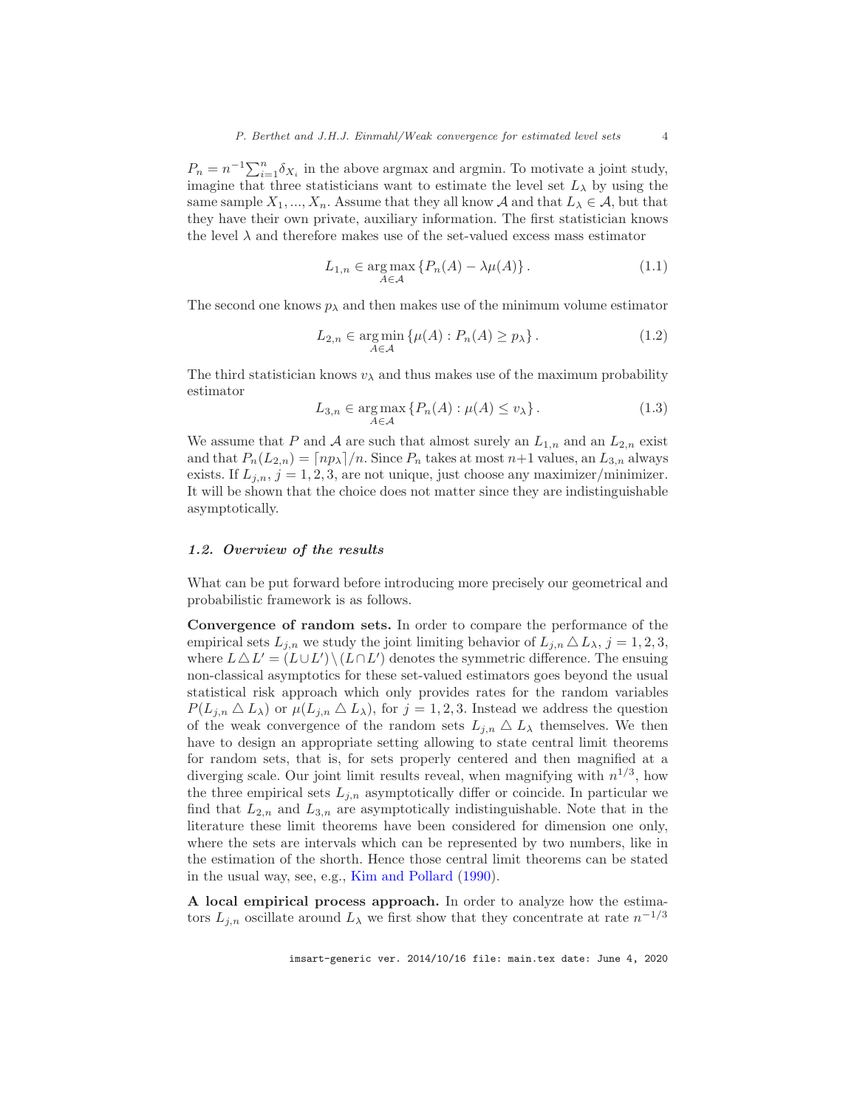$P_n = n^{-1} \sum_{i=1}^n \delta_{X_i}$  in the above argmax and argmin. To motivate a joint study, imagine that three statisticians want to estimate the level set  $L_{\lambda}$  by using the same sample  $X_1, ..., X_n$ . Assume that they all know A and that  $L_\lambda \in \mathcal{A}$ , but that they have their own private, auxiliary information. The first statistician knows the level  $\lambda$  and therefore makes use of the set-valued excess mass estimator

<span id="page-3-1"></span>
$$
L_{1,n} \in \underset{A \in \mathcal{A}}{\arg \max} \left\{ P_n(A) - \lambda \mu(A) \right\}. \tag{1.1}
$$

The second one knows  $p_{\lambda}$  and then makes use of the minimum volume estimator

<span id="page-3-2"></span>
$$
L_{2,n} \in \underset{A \in \mathcal{A}}{\text{arg min}} \left\{ \mu(A) : P_n(A) \ge p_\lambda \right\}. \tag{1.2}
$$

The third statistician knows  $v_{\lambda}$  and thus makes use of the maximum probability estimator

<span id="page-3-3"></span>
$$
L_{3,n} \in \underset{A \in \mathcal{A}}{\arg \max} \left\{ P_n(A) : \mu(A) \le v_\lambda \right\}.
$$
 (1.3)

We assume that P and A are such that almost surely an  $L_{1,n}$  and an  $L_{2,n}$  exist and that  $P_n(L_{2,n}) = \lceil np_\lambda \rceil/n$ . Since  $P_n$  takes at most  $n+1$  values, an  $L_{3,n}$  always exists. If  $L_{j,n}$ ,  $j = 1, 2, 3$ , are not unique, just choose any maximizer/minimizer. It will be shown that the choice does not matter since they are indistinguishable asymptotically.

#### <span id="page-3-0"></span>1.2. Overview of the results

What can be put forward before introducing more precisely our geometrical and probabilistic framework is as follows.

Convergence of random sets. In order to compare the performance of the empirical sets  $L_{i,n}$  we study the joint limiting behavior of  $L_{i,n} \Delta L_{\lambda}, j = 1, 2, 3$ , where  $L \Delta L' = (L \cup L') \setminus (L \cap L')$  denotes the symmetric difference. The ensuing non-classical asymptotics for these set-valued estimators goes beyond the usual statistical risk approach which only provides rates for the random variables  $P(L_{j,n} \Delta L_\lambda)$  or  $\mu(L_{j,n} \Delta L_\lambda)$ , for  $j = 1, 2, 3$ . Instead we address the question of the weak convergence of the random sets  $L_{i,n} \Delta L_{\lambda}$  themselves. We then have to design an appropriate setting allowing to state central limit theorems for random sets, that is, for sets properly centered and then magnified at a diverging scale. Our joint limit results reveal, when magnifying with  $n^{1/3}$ , how the three empirical sets  $L_{j,n}$  asymptotically differ or coincide. In particular we find that  $L_{2,n}$  and  $L_{3,n}$  are asymptotically indistinguishable. Note that in the literature these limit theorems have been considered for dimension one only, where the sets are intervals which can be represented by two numbers, like in the estimation of the shorth. Hence those central limit theorems can be stated in the usual way, see, e.g., [Kim and Pollard](#page-22-12) [\(1990\)](#page-22-12).

A local empirical process approach. In order to analyze how the estimators  $L_{j,n}$  oscillate around  $L_{\lambda}$  we first show that they concentrate at rate  $n^{-1/3}$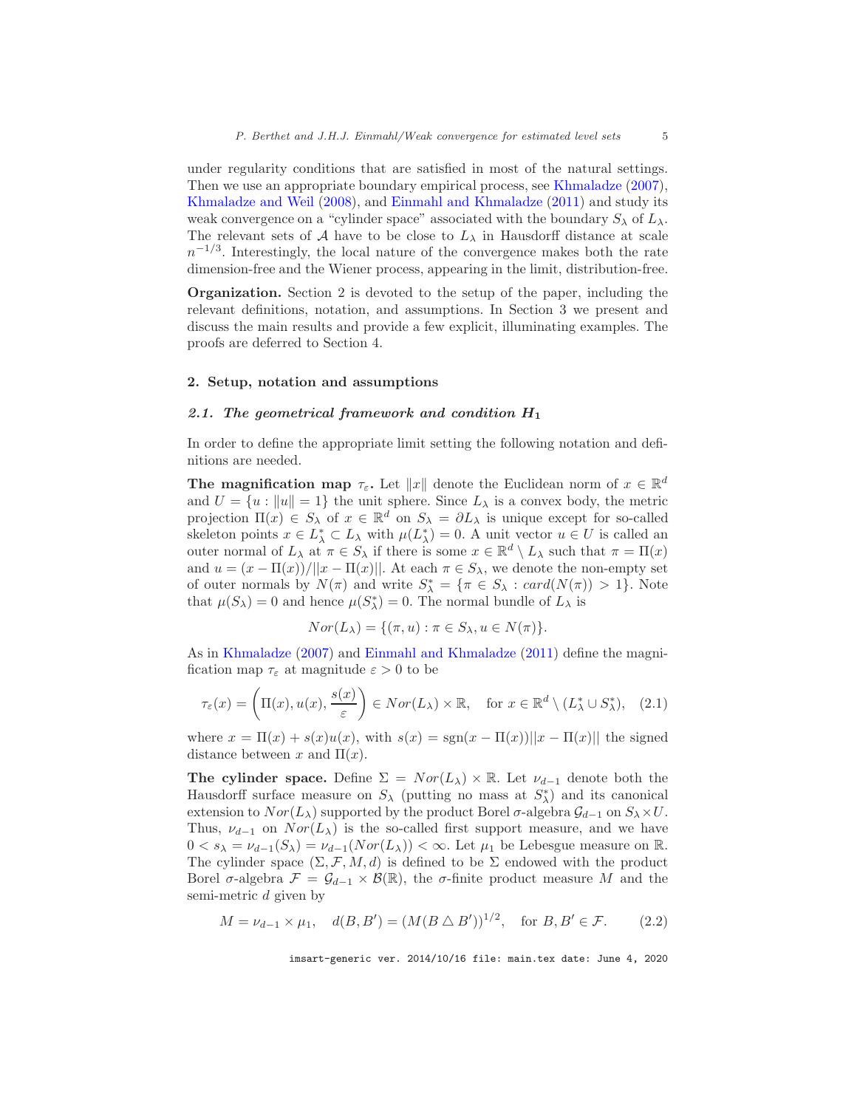under regularity conditions that are satisfied in most of the natural settings. Then we use an appropriate boundary empirical process, see [Khmaladze](#page-22-13) [\(2007\)](#page-22-13), [Khmaladze and Weil](#page-22-14) [\(2008](#page-22-14)), and [Einmahl and Khmaladze](#page-22-15) [\(2011](#page-22-15)) and study its weak convergence on a "cylinder space" associated with the boundary  $S_{\lambda}$  of  $L_{\lambda}$ . The relevant sets of A have to be close to  $L_{\lambda}$  in Hausdorff distance at scale  $n^{-1/3}$ . Interestingly, the local nature of the convergence makes both the rate dimension-free and the Wiener process, appearing in the limit, distribution-free.

Organization. Section 2 is devoted to the setup of the paper, including the relevant definitions, notation, and assumptions. In Section 3 we present and discuss the main results and provide a few explicit, illuminating examples. The proofs are deferred to Section 4.

#### <span id="page-4-1"></span><span id="page-4-0"></span>2. Setup, notation and assumptions

#### 2.1. The geometrical framework and condition  $H_1$

In order to define the appropriate limit setting the following notation and definitions are needed.

The magnification map  $\tau_{\varepsilon}$ . Let  $||x||$  denote the Euclidean norm of  $x \in \mathbb{R}^d$ and  $U = \{u : ||u|| = 1\}$  the unit sphere. Since  $L_{\lambda}$  is a convex body, the metric projection  $\Pi(x) \in S_\lambda$  of  $x \in \mathbb{R}^d$  on  $S_\lambda = \partial L_\lambda$  is unique except for so-called skeleton points  $x \in L^*_{\lambda} \subset L_{\lambda}$  with  $\mu(L^*_{\lambda}) = 0$ . A unit vector  $u \in U$  is called an outer normal of  $L_\lambda$  at  $\pi \in S_\lambda$  if there is some  $x \in \mathbb{R}^d \setminus L_\lambda$  such that  $\pi = \Pi(x)$ and  $u = (x - \Pi(x))/||x - \Pi(x)||$ . At each  $\pi \in S_\lambda$ , we denote the non-empty set of outer normals by  $N(\pi)$  and write  $S^*_{\lambda} = {\pi \in S_{\lambda} : card(N(\pi)) > 1}.$  Note that  $\mu(S_{\lambda}) = 0$  and hence  $\mu(S_{\lambda}^{*}) = 0$ . The normal bundle of  $L_{\lambda}$  is

$$
Nor(L_{\lambda}) = \{ (\pi, u) : \pi \in S_{\lambda}, u \in N(\pi) \}.
$$

As in [Khmaladze](#page-22-13) [\(2007\)](#page-22-13) and [Einmahl and Khmaladze](#page-22-15) [\(2011\)](#page-22-15) define the magnification map  $\tau_{\varepsilon}$  at magnitude  $\varepsilon > 0$  to be

$$
\tau_{\varepsilon}(x) = \left(\Pi(x), u(x), \frac{s(x)}{\varepsilon}\right) \in Nor(L_{\lambda}) \times \mathbb{R}, \quad \text{for } x \in \mathbb{R}^d \setminus (L_{\lambda}^* \cup S_{\lambda}^*), \quad (2.1)
$$

where  $x = \Pi(x) + s(x)u(x)$ , with  $s(x) = \text{sgn}(x - \Pi(x))||x - \Pi(x)||$  the signed distance between x and  $\Pi(x)$ .

The cylinder space. Define  $\Sigma = Nor(L_{\lambda}) \times \mathbb{R}$ . Let  $\nu_{d-1}$  denote both the Hausdorff surface measure on  $S_{\lambda}$  (putting no mass at  $S_{\lambda}^{*}$ ) and its canonical extension to  $Nor(L_\lambda)$  supported by the product Borel  $\sigma$ -algebra  $\mathcal{G}_{d-1}$  on  $S_\lambda \times U$ . Thus,  $\nu_{d-1}$  on  $Nor(L_{\lambda})$  is the so-called first support measure, and we have  $0 < s_{\lambda} = \nu_{d-1}(S_{\lambda}) = \nu_{d-1}(Nor(L_{\lambda})) < \infty$ . Let  $\mu_1$  be Lebesgue measure on R. The cylinder space  $(\Sigma, \mathcal{F}, M, d)$  is defined to be  $\Sigma$  endowed with the product Borel  $\sigma$ -algebra  $\mathcal{F} = \mathcal{G}_{d-1} \times \mathcal{B}(\mathbb{R})$ , the  $\sigma$ -finite product measure M and the semi-metric d given by

<span id="page-4-2"></span>
$$
M = \nu_{d-1} \times \mu_1, \quad d(B, B') = (M(B \triangle B'))^{1/2}, \quad \text{for } B, B' \in \mathcal{F}.
$$
 (2.2)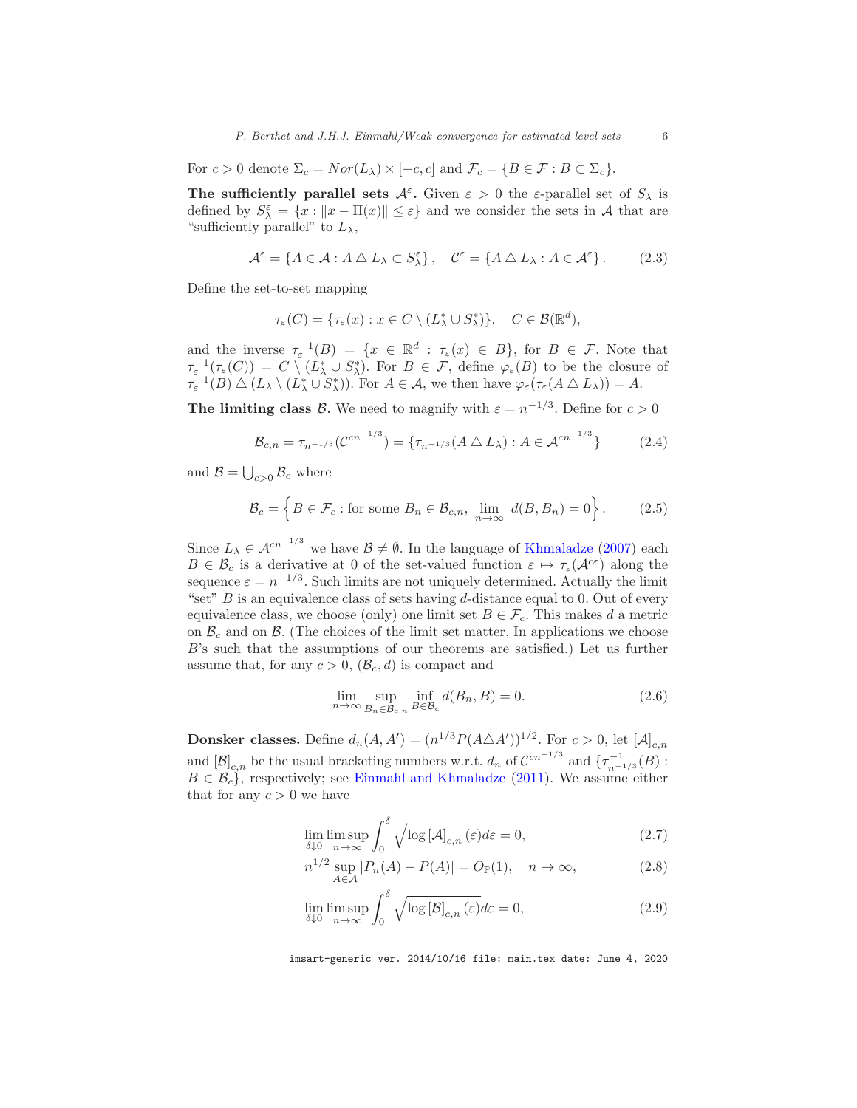For  $c > 0$  denote  $\Sigma_c = Nor(L_\lambda) \times [-c, c]$  and  $\mathcal{F}_c = \{B \in \mathcal{F} : B \subset \Sigma_c\}.$ 

The sufficiently parallel sets  $A^{\varepsilon}$ . Given  $\varepsilon > 0$  the  $\varepsilon$ -parallel set of  $S_{\lambda}$  is defined by  $S^{\varepsilon}_{\lambda} = \{x : ||x - \Pi(x)|| \leq \varepsilon\}$  and we consider the sets in A that are "sufficiently parallel" to  $L_{\lambda}$ ,

<span id="page-5-1"></span>
$$
\mathcal{A}^{\varepsilon} = \{ A \in \mathcal{A} : A \bigtriangleup L_{\lambda} \subset S_{\lambda}^{\varepsilon} \}, \quad \mathcal{C}^{\varepsilon} = \{ A \bigtriangleup L_{\lambda} : A \in \mathcal{A}^{\varepsilon} \}.
$$
 (2.3)

Define the set-to-set mapping

$$
\tau_{\varepsilon}(C) = \{\tau_{\varepsilon}(x) : x \in C \setminus (L^*_{\lambda} \cup S^*_{\lambda})\}, \quad C \in \mathcal{B}(\mathbb{R}^d),
$$

and the inverse  $\tau_{\varepsilon}^{-1}(B) = \{x \in \mathbb{R}^d : \tau_{\varepsilon}(x) \in B\}$ , for  $B \in \mathcal{F}$ . Note that  $\tau_{\varepsilon}^{-1}(\tau_{\varepsilon}(C)) = C \setminus (L^*_{\lambda} \cup S^*_{\lambda}).$  For  $B \in \mathcal{F}$ , define  $\varphi_{\varepsilon}(B)$  to be the closure of  $\tau_{\varepsilon}^{-1}(B) \bigtriangleup (L_{\lambda} \setminus (L_{\lambda}^* \cup S_{\lambda}^*)).$  For  $A \in \mathcal{A}$ , we then have  $\varphi_{\varepsilon}(\tau_{\varepsilon}(A \bigtriangleup L_{\lambda})) = A$ .

**The limiting class B.** We need to magnify with  $\varepsilon = n^{-1/3}$ . Define for  $c > 0$ 

<span id="page-5-2"></span>
$$
\mathcal{B}_{c,n} = \tau_{n^{-1/3}}(\mathcal{C}^{cn^{-1/3}}) = {\tau_{n^{-1/3}}(A \bigtriangleup L_{\lambda}): A \in \mathcal{A}^{cn^{-1/3}}}
$$
(2.4)

and  $\mathcal{B} = \bigcup_{c>0} \mathcal{B}_c$  where

$$
\mathcal{B}_c = \left\{ B \in \mathcal{F}_c : \text{for some } B_n \in \mathcal{B}_{c,n}, \lim_{n \to \infty} d(B, B_n) = 0 \right\}. \tag{2.5}
$$

Since  $L_{\lambda} \in \mathcal{A}^{cn^{-1/3}}$  we have  $\mathcal{B} \neq \emptyset$ . In the language of [Khmaladze](#page-22-13) [\(2007\)](#page-22-13) each  $B \in \mathcal{B}_c$  is a derivative at 0 of the set-valued function  $\varepsilon \mapsto \tau_{\varepsilon}(\mathcal{A}^{c\varepsilon})$  along the sequence  $\varepsilon = n^{-1/3}$ . Such limits are not uniquely determined. Actually the limit "set"  $B$  is an equivalence class of sets having d-distance equal to 0. Out of every equivalence class, we choose (only) one limit set  $B \in \mathcal{F}_c$ . This makes d a metric on  $\mathcal{B}_c$  and on  $\mathcal{B}_c$ . (The choices of the limit set matter. In applications we choose B's such that the assumptions of our theorems are satisfied.) Let us further assume that, for any  $c > 0$ ,  $(\mathcal{B}_c, d)$  is compact and

<span id="page-5-0"></span>
$$
\lim_{n \to \infty} \sup_{B_n \in \mathcal{B}_{c,n}} \inf_{B \in \mathcal{B}_c} d(B_n, B) = 0.
$$
\n(2.6)

**Donsker classes.** Define  $d_n(A, A') = (n^{1/3} P(A \triangle A'))^{1/2}$ . For  $c > 0$ , let  $[A]_{c,n}$ and  $[\mathcal{B}]_{c,n}$  be the usual bracketing numbers w.r.t.  $d_n$  of  $\mathcal{C}^{cn^{-1/3}}$  and  $\{\tau_{n^{-1/3}}^{-1}(B)$ :  $B \in \mathcal{B}_c$ , respectively; see [Einmahl and Khmaladze](#page-22-15) [\(2011](#page-22-15)). We assume either that for any  $c > 0$  we have

<span id="page-5-3"></span>
$$
\lim_{\delta \downarrow 0} \limsup_{n \to \infty} \int_0^\delta \sqrt{\log \left[ A \right]_{c,n} (\varepsilon)} d\varepsilon = 0,
$$
\n(2.7)

$$
n^{1/2} \sup_{A \in \mathcal{A}} |P_n(A) - P(A)| = O_{\mathbb{P}}(1), \quad n \to \infty,
$$
 (2.8)

$$
\lim_{\delta \downarrow 0} \limsup_{n \to \infty} \int_0^\delta \sqrt{\log [\mathcal{B}]_{c,n}(\varepsilon)} d\varepsilon = 0,
$$
\n(2.9)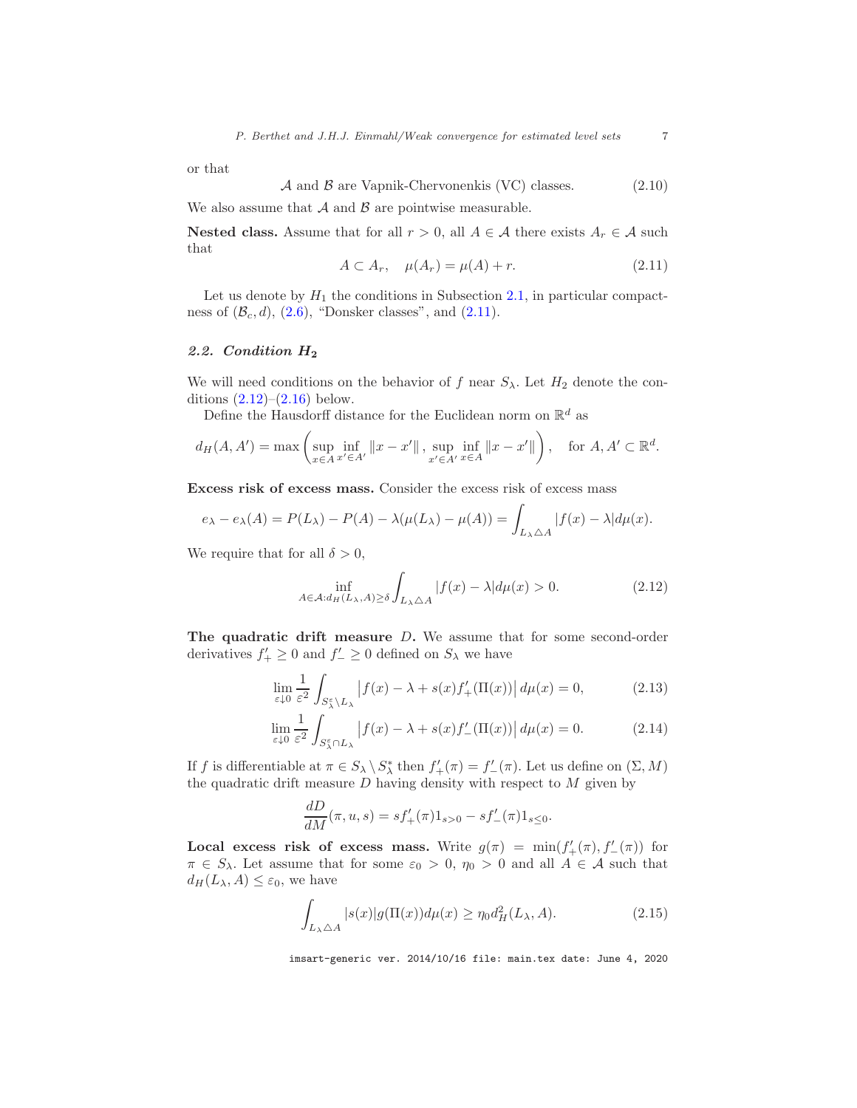or that

$$
\mathcal{A} \text{ and } \mathcal{B} \text{ are Vapnik-Chervonenkis (VC) classes.} \tag{2.10}
$$

We also assume that  $A$  and  $B$  are pointwise measurable.

Nested class. Assume that for all  $r > 0$ , all  $A \in \mathcal{A}$  there exists  $A_r \in \mathcal{A}$  such that

<span id="page-6-1"></span>
$$
A \subset A_r, \quad \mu(A_r) = \mu(A) + r. \tag{2.11}
$$

Let us denote by  $H_1$  the conditions in Subsection [2.1,](#page-4-1) in particular compactness of  $(\mathcal{B}_c, d)$ ,  $(2.6)$ , "Donsker classes", and  $(2.11)$ .

#### <span id="page-6-0"></span>2.2. Condition H<sup>2</sup>

We will need conditions on the behavior of f near  $S_{\lambda}$ . Let  $H_2$  denote the conditions  $(2.12)$  $(2.12)$ – $(2.16)$  $(2.16)$  below.

Define the Hausdorff distance for the Euclidean norm on  $\mathbb{R}^d$  as

$$
d_H(A, A') = \max \left( \sup_{x \in A} \inf_{x' \in A'} ||x - x'||, \sup_{x' \in A'} \inf_{x \in A} ||x - x'|| \right), \text{ for } A, A' \subset \mathbb{R}^d.
$$

Excess risk of excess mass. Consider the excess risk of excess mass

$$
e_{\lambda} - e_{\lambda}(A) = P(L_{\lambda}) - P(A) - \lambda(\mu(L_{\lambda}) - \mu(A)) = \int_{L_{\lambda} \triangle A} |f(x) - \lambda| d\mu(x).
$$

We require that for all  $\delta > 0$ ,

<span id="page-6-3"></span><span id="page-6-2"></span>
$$
\inf_{A \in \mathcal{A}: d_H(L_\lambda, A) \ge \delta} \int_{L_\lambda \triangle A} |f(x) - \lambda| d\mu(x) > 0.
$$
 (2.12)

The quadratic drift measure D. We assume that for some second-order derivatives  $f'_{+} \geq 0$  and  $f'_{-} \geq 0$  defined on  $S_{\lambda}$  we have

$$
\lim_{\varepsilon \downarrow 0} \frac{1}{\varepsilon^2} \int_{S_\lambda^{\varepsilon} \setminus L_\lambda} \left| f(x) - \lambda + s(x) f'_{+}(\Pi(x)) \right| d\mu(x) = 0,
$$
\n(2.13)

$$
\lim_{\varepsilon \downarrow 0} \frac{1}{\varepsilon^2} \int_{S_\lambda^\varepsilon \cap L_\lambda} \left| f(x) - \lambda + s(x) f'_{-}(\Pi(x)) \right| d\mu(x) = 0. \tag{2.14}
$$

If f is differentiable at  $\pi \in S_\lambda \setminus S_\lambda^*$  then  $f'_+(\pi) = f'_-(\pi)$ . Let us define on  $(\Sigma, M)$ the quadratic drift measure  $D$  having density with respect to  $M$  given by

<span id="page-6-4"></span>
$$
\frac{dD}{dM}(\pi, u, s) = sf'_+(\pi)1_{s>0} - sf'_-(\pi)1_{s\leq 0}.
$$

Local excess risk of excess mass. Write  $g(\pi) = \min(f'_{+}(\pi), f'_{-}(\pi))$  for  $\pi \in S_\lambda$ . Let assume that for some  $\varepsilon_0 > 0$ ,  $\eta_0 > 0$  and all  $A \in \mathcal{A}$  such that  $d_H(L_\lambda, A) \leq \varepsilon_0$ , we have

<span id="page-6-5"></span>
$$
\int_{L_{\lambda}\triangle A} |s(x)|g(\Pi(x))d\mu(x) \ge \eta_0 d_H^2(L_{\lambda}, A). \tag{2.15}
$$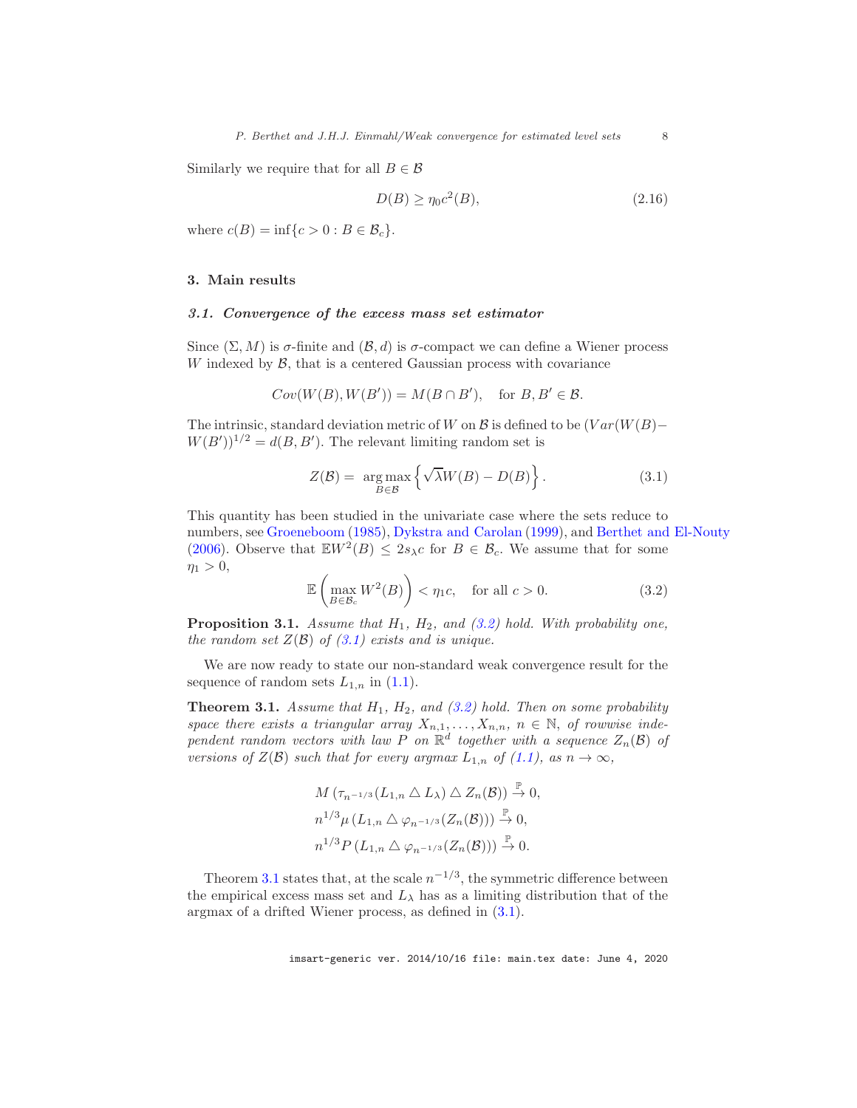Similarly we require that for all  $B \in \mathcal{B}$ 

<span id="page-7-3"></span>
$$
D(B) \ge \eta_0 c^2(B),\tag{2.16}
$$

where  $c(B) = \inf\{c > 0 : B \in \mathcal{B}_c\}.$ 

### <span id="page-7-1"></span><span id="page-7-0"></span>3. Main results

#### 3.1. Convergence of the excess mass set estimator

Since  $(\Sigma, M)$  is  $\sigma$ -finite and  $(\mathcal{B}, d)$  is  $\sigma$ -compact we can define a Wiener process W indexed by  $\beta$ , that is a centered Gaussian process with covariance

$$
Cov(W(B), W(B')) = M(B \cap B'), \text{ for } B, B' \in \mathcal{B}.
$$

The intrinsic, standard deviation metric of W on B is defined to be  $(Var(W(B)–$  $W(B')$ <sup>1/2</sup> =  $d(B, B')$ . The relevant limiting random set is

<span id="page-7-5"></span>
$$
Z(\mathcal{B}) = \underset{B \in \mathcal{B}}{\arg \max} \left\{ \sqrt{\lambda} W(B) - D(B) \right\}.
$$
 (3.1)

This quantity has been studied in the univariate case where the sets reduce to numbers, see [Groeneboom](#page-22-16) [\(1985\)](#page-22-16), [Dykstra and Carolan](#page-22-17) [\(1999](#page-22-17)), and [Berthet and El-Nouty](#page-21-5) [\(2006\)](#page-21-5). Observe that  $\mathbb{E}W^2(B) \leq 2s_{\lambda}c$  for  $B \in \mathcal{B}_c$ . We assume that for some  $\eta_1 > 0,$ 

<span id="page-7-4"></span>
$$
\mathbb{E}\left(\max_{B\in\mathcal{B}_c} W^2(B)\right) < \eta_1 c, \quad \text{for all } c > 0. \tag{3.2}
$$

<span id="page-7-6"></span>Proposition 3.1. *Assume that* H1*,* H2*, and [\(3.2\)](#page-7-4) hold. With probability one, the random set*  $Z(\mathcal{B})$  *of*  $(3.1)$  *exists and is unique.* 

We are now ready to state our non-standard weak convergence result for the sequence of random sets  $L_{1,n}$  in  $(1.1)$ .

<span id="page-7-2"></span>Theorem 3.1. *Assume that* H1*,* H2*, and [\(3.2\)](#page-7-4) hold. Then on some probability* space there exists a triangular array  $X_{n,1}, \ldots, X_{n,n}$ ,  $n \in \mathbb{N}$ , of rowwise inde*pendent random vectors with law* P *on*  $\mathbb{R}^d$  together with a sequence  $Z_n(\mathcal{B})$  of *versions of*  $Z(\mathcal{B})$  *such that for every argmax*  $L_{1,n}$  *of*  $(1.1)$ *, as*  $n \to \infty$ *,* 

$$
M\left(\tau_{n^{-1/3}}(L_{1,n} \triangle L_{\lambda}) \triangle Z_n(\mathcal{B})\right) \stackrel{\mathbb{P}}{\to} 0,
$$
  
\n
$$
n^{1/3} \mu\left(L_{1,n} \triangle \varphi_{n^{-1/3}}(Z_n(\mathcal{B}))\right) \stackrel{\mathbb{P}}{\to} 0,
$$
  
\n
$$
n^{1/3} P\left(L_{1,n} \triangle \varphi_{n^{-1/3}}(Z_n(\mathcal{B}))\right) \stackrel{\mathbb{P}}{\to} 0.
$$

Theorem [3.1](#page-7-2) states that, at the scale  $n^{-1/3}$ , the symmetric difference between the empirical excess mass set and  $L_{\lambda}$  has as a limiting distribution that of the argmax of a drifted Wiener process, as defined in [\(3.1\)](#page-7-5).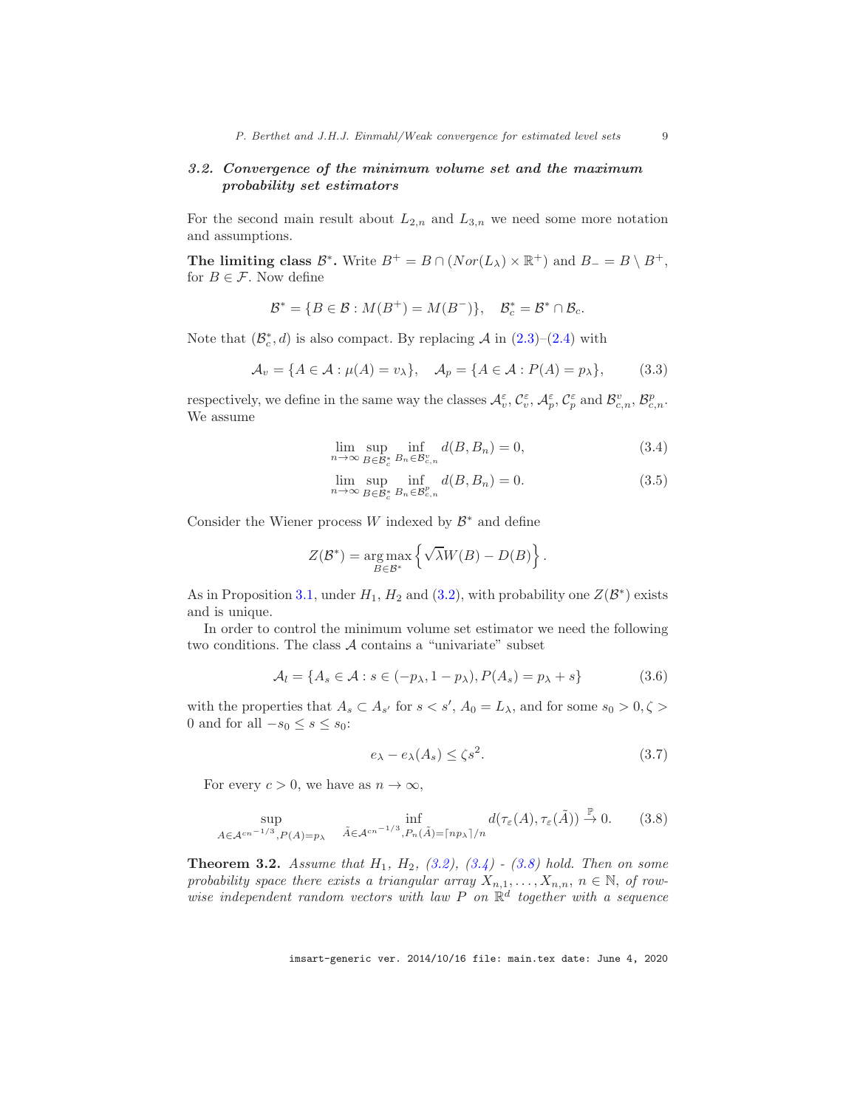# <span id="page-8-0"></span>3.2. Convergence of the minimum volume set and the maximum probability set estimators

For the second main result about  $L_{2,n}$  and  $L_{3,n}$  we need some more notation and assumptions.

The limiting class  $\mathcal{B}^*$ . Write  $B^+ = B \cap (Nor(L_\lambda) \times \mathbb{R}^+)$  and  $B_- = B \setminus B^+$ , for  $B \in \mathcal{F}$ . Now define

$$
\mathcal{B}^* = \{ B \in \mathcal{B} : M(B^+) = M(B^-) \}, \quad \mathcal{B}_c^* = \mathcal{B}^* \cap \mathcal{B}_c.
$$

Note that  $(\mathcal{B}_{c}^{*}, d)$  is also compact. By replacing  $\mathcal{A}$  in  $(2.3)$ – $(2.4)$  with

$$
\mathcal{A}_v = \{ A \in \mathcal{A} : \mu(A) = v_\lambda \}, \quad \mathcal{A}_p = \{ A \in \mathcal{A} : P(A) = p_\lambda \}, \tag{3.3}
$$

respectively, we define in the same way the classes  $\mathcal{A}_{v}^{\varepsilon}$ ,  $\mathcal{C}_{v}^{\varepsilon}$ ,  $\mathcal{A}_{p}^{\varepsilon}$ ,  $\mathcal{C}_{p}^{\varepsilon}$  and  $\mathcal{B}_{c,n}^{v}$ ,  $\mathcal{B}_{c,n}^{p}$ . We assume

<span id="page-8-2"></span>
$$
\lim_{n \to \infty} \sup_{B \in \mathcal{B}^*_{c}} \inf_{B_n \in \mathcal{B}^v_{c,n}} d(B, B_n) = 0,
$$
\n(3.4)

<span id="page-8-6"></span>
$$
\lim_{n \to \infty} \sup_{B \in \mathcal{B}_c^*} \inf_{B_n \in \mathcal{B}_{c,n}^p} d(B, B_n) = 0.
$$
\n(3.5)

Consider the Wiener process  $W$  indexed by  $\mathcal{B}^*$  and define

$$
Z(\mathcal{B}^*) = \underset{B \in \mathcal{B}^*}{\arg \max} \left\{ \sqrt{\lambda} W(B) - D(B) \right\}.
$$

As in Proposition [3.1,](#page-7-6) under  $H_1$ ,  $H_2$  and [\(3.2\)](#page-7-4), with probability one  $Z(\mathcal{B}^*)$  exists and is unique.

In order to control the minimum volume set estimator we need the following two conditions. The class  $A$  contains a "univariate" subset

<span id="page-8-4"></span>
$$
\mathcal{A}_l = \{ A_s \in \mathcal{A} : s \in (-p_\lambda, 1 - p_\lambda), P(A_s) = p_\lambda + s \}
$$
(3.6)

with the properties that  $A_s \subset A_{s'}$  for  $s < s'$ ,  $A_0 = L_\lambda$ , and for some  $s_0 > 0, \zeta >$ 0 and for all  $-s_0 \leq s \leq s_0$ :

<span id="page-8-5"></span>
$$
e_{\lambda} - e_{\lambda}(A_s) \le \zeta s^2. \tag{3.7}
$$

For every  $c > 0$ , we have as  $n \to \infty$ ,

<span id="page-8-3"></span>
$$
\sup_{A \in \mathcal{A}^{cn^{-1/3}}, P(A) = p_{\lambda}} \inf_{\tilde{A} \in \mathcal{A}^{cn^{-1/3}}, P_n(\tilde{A}) = \lceil np_{\lambda} \rceil/n} d(\tau_{\varepsilon}(A), \tau_{\varepsilon}(\tilde{A})) \xrightarrow{\mathbb{P}} 0.
$$
 (3.8)

<span id="page-8-1"></span>Theorem 3.2. *Assume that* H1*,* H2*, [\(3.2\)](#page-7-4), [\(3.4\)](#page-8-2) - [\(3.8\)](#page-8-3) hold. Then on some probability space there exists a triangular array*  $X_{n,1}, \ldots, X_{n,n}$ ,  $n \in \mathbb{N}$ , *of row* $wise$  independent random vectors with law  $P$  on  $\mathbb{R}^d$  together with a sequence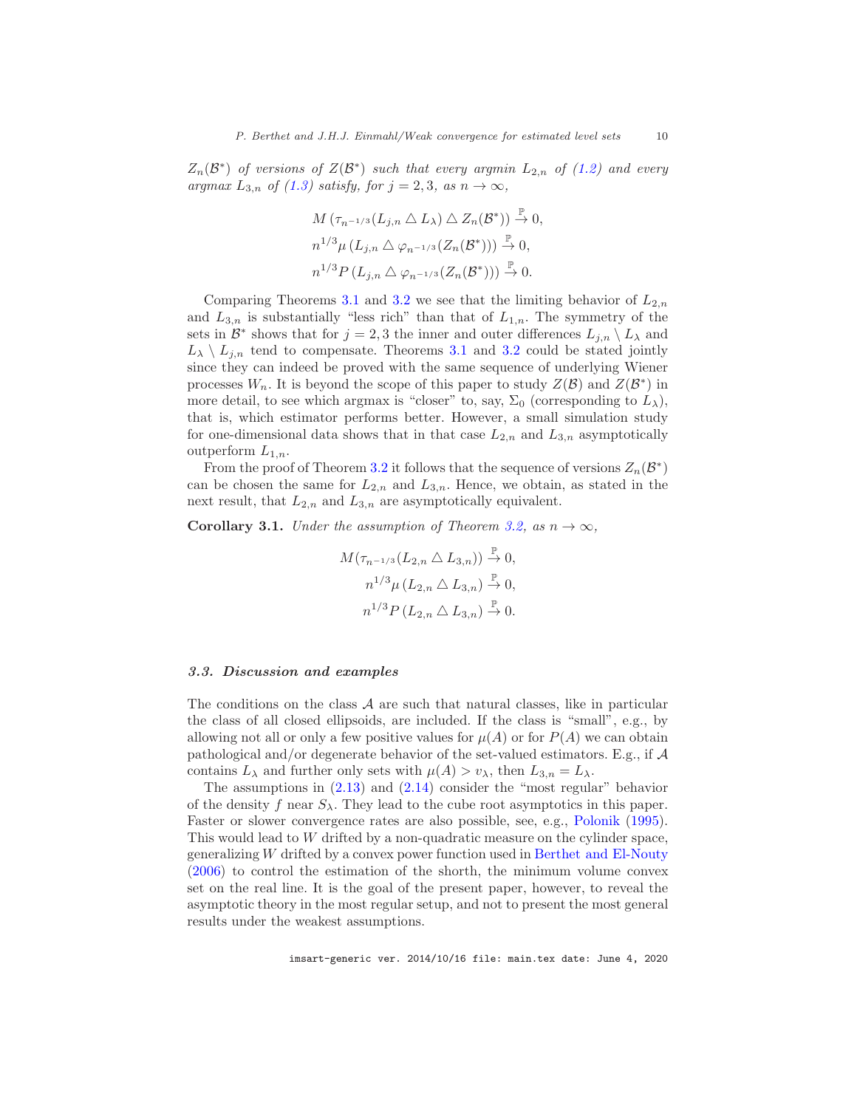$Z_n(\mathcal{B}^*)$  *of versions of*  $Z(\mathcal{B}^*)$  *such that every argmin*  $L_{2,n}$  *of*  $(1.2)$  *and every argmax*  $L_{3,n}$  *of* [\(1.3\)](#page-3-3) *satisfy, for*  $j = 2, 3$ *, as*  $n \to \infty$ *,* 

$$
M\left(\tau_{n^{-1/3}}(L_{j,n} \triangle L_{\lambda}) \triangle Z_n(\mathcal{B}^*)\right) \stackrel{\mathbb{P}}{\rightarrow} 0,
$$
  
\n
$$
n^{1/3} \mu\left(L_{j,n} \triangle \varphi_{n^{-1/3}}(Z_n(\mathcal{B}^*))\right) \stackrel{\mathbb{P}}{\rightarrow} 0,
$$
  
\n
$$
n^{1/3} P\left(L_{j,n} \triangle \varphi_{n^{-1/3}}(Z_n(\mathcal{B}^*))\right) \stackrel{\mathbb{P}}{\rightarrow} 0.
$$

Comparing Theorems [3.1](#page-7-2) and [3.2](#page-8-1) we see that the limiting behavior of  $L_{2,n}$ and  $L_{3,n}$  is substantially "less rich" than that of  $L_{1,n}$ . The symmetry of the sets in  $\mathcal{B}^*$  shows that for  $j = 2, 3$  the inner and outer differences  $L_{j,n} \setminus L_\lambda$  and  $L_{\lambda} \setminus L_{j,n}$  tend to compensate. Theorems [3.1](#page-7-2) and [3.2](#page-8-1) could be stated jointly since they can indeed be proved with the same sequence of underlying Wiener processes  $W_n$ . It is beyond the scope of this paper to study  $Z(\mathcal{B})$  and  $Z(\mathcal{B}^*)$  in more detail, to see which argmax is "closer" to, say,  $\Sigma_0$  (corresponding to  $L_\lambda$ ), that is, which estimator performs better. However, a small simulation study for one-dimensional data shows that in that case  $L_{2,n}$  and  $L_{3,n}$  asymptotically outperform  $L_{1,n}$ .

From the proof of Theorem [3.2](#page-8-1) it follows that the sequence of versions  $Z_n(\mathcal{B}^*)$ can be chosen the same for  $L_{2,n}$  and  $L_{3,n}$ . Hence, we obtain, as stated in the next result, that  $L_{2,n}$  and  $L_{3,n}$  are asymptotically equivalent.

**Corollary 3.1.** *Under the assumption of Theorem [3.2,](#page-8-1) as*  $n \to \infty$ *,* 

$$
M(\tau_{n^{-1/3}}(L_{2,n} \triangle L_{3,n})) \xrightarrow{\mathbb{P}} 0,
$$
  
\n
$$
n^{1/3} \mu (L_{2,n} \triangle L_{3,n}) \xrightarrow{\mathbb{P}} 0,
$$
  
\n
$$
n^{1/3} P (L_{2,n} \triangle L_{3,n}) \xrightarrow{\mathbb{P}} 0.
$$

#### <span id="page-9-0"></span>3.3. Discussion and examples

The conditions on the class  $A$  are such that natural classes, like in particular the class of all closed ellipsoids, are included. If the class is "small", e.g., by allowing not all or only a few positive values for  $\mu(A)$  or for  $P(A)$  we can obtain pathological and/or degenerate behavior of the set-valued estimators. E.g., if A contains  $L_{\lambda}$  and further only sets with  $\mu(A) > v_{\lambda}$ , then  $L_{3,n} = L_{\lambda}$ .

The assumptions in [\(2.13\)](#page-6-3) and [\(2.14\)](#page-6-4) consider the "most regular" behavior of the density f near  $S_\lambda$ . They lead to the cube root asymptotics in this paper. Faster or slower convergence rates are also possible, see, e.g., [Polonik](#page-22-3) [\(1995\)](#page-22-3). This would lead to W drifted by a non-quadratic measure on the cylinder space, generalizing  $W$  drifted by a convex power function used in [Berthet and El-Nouty](#page-21-5) [\(2006\)](#page-21-5) to control the estimation of the shorth, the minimum volume convex set on the real line. It is the goal of the present paper, however, to reveal the asymptotic theory in the most regular setup, and not to present the most general results under the weakest assumptions.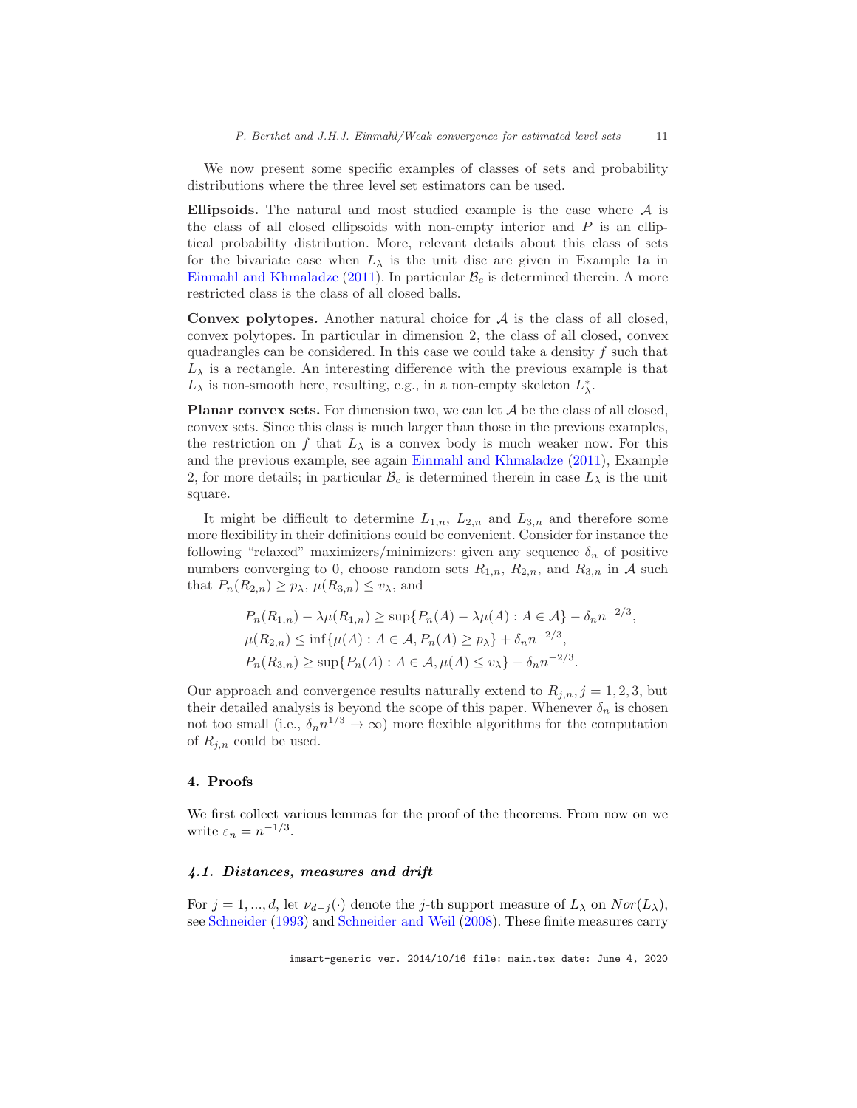We now present some specific examples of classes of sets and probability distributions where the three level set estimators can be used.

Ellipsoids. The natural and most studied example is the case where  $A$  is the class of all closed ellipsoids with non-empty interior and  $P$  is an elliptical probability distribution. More, relevant details about this class of sets for the bivariate case when  $L_{\lambda}$  is the unit disc are given in Example 1a in [Einmahl and Khmaladze](#page-22-15) [\(2011\)](#page-22-15). In particular  $B_c$  is determined therein. A more restricted class is the class of all closed balls.

Convex polytopes. Another natural choice for  $A$  is the class of all closed, convex polytopes. In particular in dimension 2, the class of all closed, convex quadrangles can be considered. In this case we could take a density  $f$  such that  $L_{\lambda}$  is a rectangle. An interesting difference with the previous example is that  $L_\lambda$  is non-smooth here, resulting, e.g., in a non-empty skeleton  $L_\lambda^*.$ 

**Planar convex sets.** For dimension two, we can let  $A$  be the class of all closed, convex sets. Since this class is much larger than those in the previous examples, the restriction on f that  $L_{\lambda}$  is a convex body is much weaker now. For this and the previous example, see again [Einmahl and Khmaladze](#page-22-15) [\(2011\)](#page-22-15), Example 2, for more details; in particular  $B_c$  is determined therein in case  $L_{\lambda}$  is the unit square.

It might be difficult to determine  $L_{1,n}$ ,  $L_{2,n}$  and  $L_{3,n}$  and therefore some more flexibility in their definitions could be convenient. Consider for instance the following "relaxed" maximizers/minimizers: given any sequence  $\delta_n$  of positive numbers converging to 0, choose random sets  $R_{1,n}$ ,  $R_{2,n}$ , and  $R_{3,n}$  in A such that  $P_n(R_{2,n}) \geq p_{\lambda}, \mu(R_{3,n}) \leq v_{\lambda}$ , and

$$
P_n(R_{1,n}) - \lambda \mu(R_{1,n}) \ge \sup\{P_n(A) - \lambda \mu(A) : A \in \mathcal{A}\} - \delta_n n^{-2/3},
$$
  

$$
\mu(R_{2,n}) \le \inf\{\mu(A) : A \in \mathcal{A}, P_n(A) \ge p_\lambda\} + \delta_n n^{-2/3},
$$
  

$$
P_n(R_{3,n}) \ge \sup\{P_n(A) : A \in \mathcal{A}, \mu(A) \le v_\lambda\} - \delta_n n^{-2/3}.
$$

Our approach and convergence results naturally extend to  $R_{j,n}$ ,  $j = 1, 2, 3$ , but their detailed analysis is beyond the scope of this paper. Whenever  $\delta_n$  is chosen not too small (i.e.,  $\delta_n n^{1/3} \to \infty$ ) more flexible algorithms for the computation of  $R_{i,n}$  could be used.

#### <span id="page-10-0"></span>4. Proofs

We first collect various lemmas for the proof of the theorems. From now on we write  $\varepsilon_n = n^{-1/3}$ .

### <span id="page-10-1"></span>4.1. Distances, measures and drift

For  $j = 1, ..., d$ , let  $\nu_{d-j}(\cdot)$  denote the j-th support measure of  $L_{\lambda}$  on  $Nor(L_{\lambda})$ , see [Schneider](#page-22-18) [\(1993\)](#page-22-18) and [Schneider and Weil](#page-22-19) [\(2008\)](#page-22-19). These finite measures carry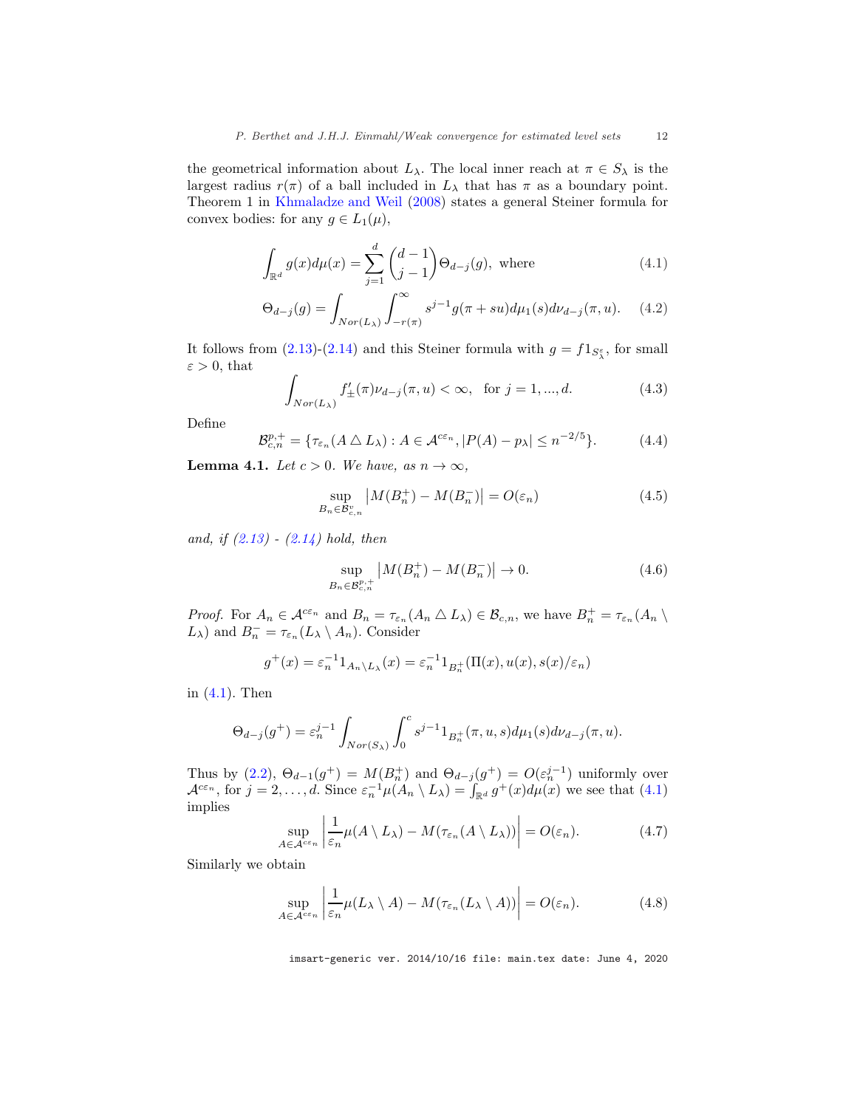the geometrical information about  $L_{\lambda}$ . The local inner reach at  $\pi \in S_{\lambda}$  is the largest radius  $r(\pi)$  of a ball included in  $L_{\lambda}$  that has  $\pi$  as a boundary point. Theorem 1 in [Khmaladze and Weil](#page-22-14) [\(2008](#page-22-14)) states a general Steiner formula for convex bodies: for any  $g \in L_1(\mu)$ ,

<span id="page-11-0"></span>
$$
\int_{\mathbb{R}^d} g(x) d\mu(x) = \sum_{j=1}^d \binom{d-1}{j-1} \Theta_{d-j}(g), \text{ where } (4.1)
$$

$$
\Theta_{d-j}(g) = \int_{Nor(L_{\lambda})} \int_{-r(\pi)}^{\infty} s^{j-1} g(\pi + su) d\mu_1(s) d\nu_{d-j}(\pi, u). \tag{4.2}
$$

It follows from  $(2.13)-(2.14)$  $(2.13)-(2.14)$  and this Steiner formula with  $g = f1_{S_{\lambda}^{\varepsilon}}$ , for small  $\varepsilon > 0$ , that

<span id="page-11-4"></span>
$$
\int_{Nor(L_{\lambda})} f'_{\pm}(\pi)\nu_{d-j}(\pi, u) < \infty, \text{ for } j = 1, ..., d.
$$
 (4.3)

Define

<span id="page-11-7"></span>
$$
\mathcal{B}_{c,n}^{p,+} = \{ \tau_{\varepsilon_n}(A \bigtriangleup L_\lambda) : A \in \mathcal{A}^{c\varepsilon_n}, |P(A) - p_\lambda| \le n^{-2/5} \}. \tag{4.4}
$$

<span id="page-11-6"></span>**Lemma 4.1.** *Let*  $c > 0$ *. We have, as*  $n \to \infty$ *,* 

<span id="page-11-3"></span>
$$
\sup_{B_n \in \mathcal{B}_{c,n}^v} \left| M(B_n^+) - M(B_n^-) \right| = O(\varepsilon_n)
$$
\n(4.5)

*and, if [\(2.13\)](#page-6-3) - [\(2.14\)](#page-6-4) hold, then*

<span id="page-11-5"></span>
$$
\sup_{B_n \in \mathcal{B}_{c,n}^{p,+}} |M(B_n^+) - M(B_n^-)| \to 0.
$$
\n(4.6)

*Proof.* For  $A_n \in \mathcal{A}^{c\epsilon_n}$  and  $B_n = \tau_{\epsilon_n}(A_n \triangle L_\lambda) \in \mathcal{B}_{c,n}$ , we have  $B_n^+ = \tau_{\epsilon_n}(A_n \setminus \mathcal{A})$  $L_{\lambda}$ ) and  $B_n^- = \tau_{\varepsilon_n}(L_{\lambda} \setminus A_n)$ . Consider

$$
g^+(x) = \varepsilon_n^{-1} 1_{A_n \setminus L_\lambda}(x) = \varepsilon_n^{-1} 1_{B_n^+}(\Pi(x), u(x), s(x)/\varepsilon_n)
$$

in [\(4.1\)](#page-11-0). Then

$$
\Theta_{d-j}(g^+) = \varepsilon_n^{j-1} \int_{Nor(S_\lambda)} \int_0^c s^{j-1} 1_{B_n^+}(\pi, u, s) d\mu_1(s) d\nu_{d-j}(\pi, u).
$$

Thus by [\(2.2\)](#page-4-2),  $\Theta_{d-1}(g^+) = M(B_n^+)$  and  $\Theta_{d-j}(g^+) = O(\varepsilon_n^{j-1})$  uniformly over  $\mathcal{A}^{c\varepsilon_n}$ , for  $j=2,\ldots,d$ . Since  $\varepsilon_n^{-1}\mu(A_n \setminus L_\lambda) = \int_{\mathbb{R}^d} g^+(x) d\mu(x)$  we see that  $(4.1)$ implies

<span id="page-11-1"></span>
$$
\sup_{A \in \mathcal{A}^{c\varepsilon_n}} \left| \frac{1}{\varepsilon_n} \mu(A \setminus L_\lambda) - M(\tau_{\varepsilon_n}(A \setminus L_\lambda)) \right| = O(\varepsilon_n). \tag{4.7}
$$

Similarly we obtain

<span id="page-11-2"></span>
$$
\sup_{A \in \mathcal{A}^{c\varepsilon_n}} \left| \frac{1}{\varepsilon_n} \mu(L_\lambda \setminus A) - M(\tau_{\varepsilon_n}(L_\lambda \setminus A)) \right| = O(\varepsilon_n). \tag{4.8}
$$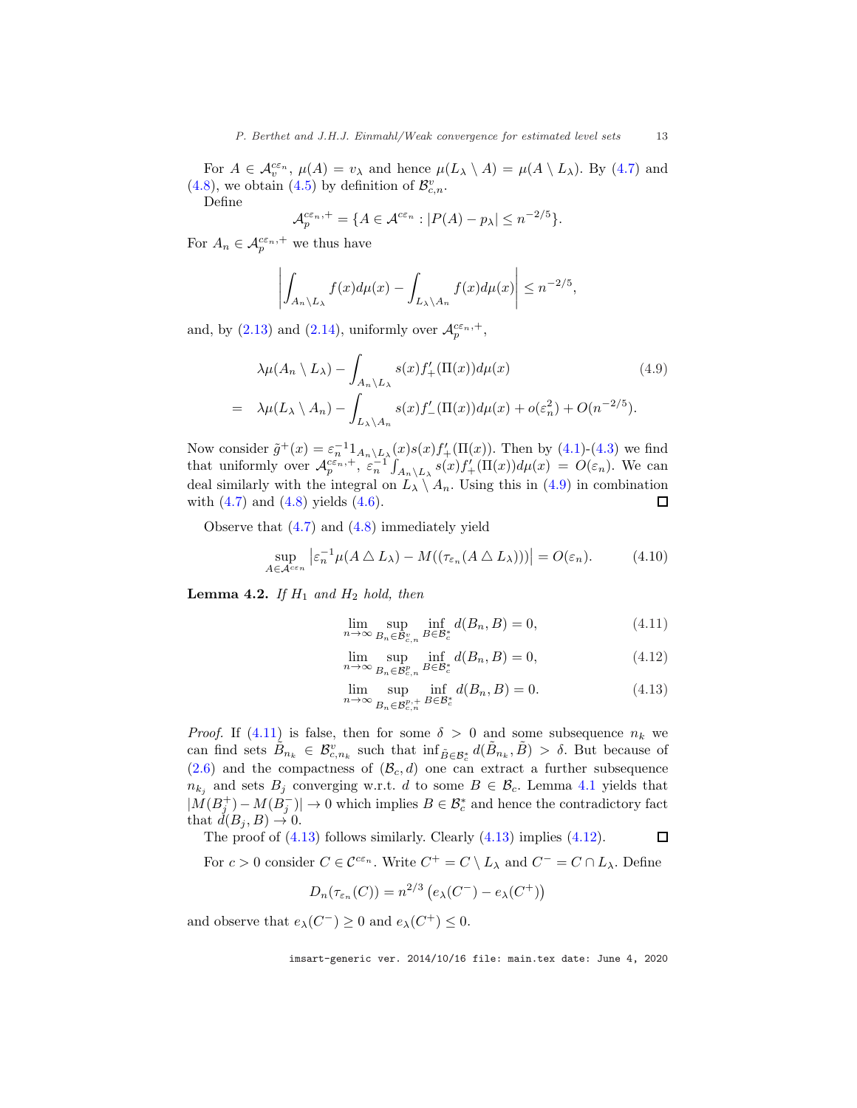For  $A \in \mathcal{A}_v^{\epsilon \epsilon_n}$ ,  $\mu(A) = v_\lambda$  and hence  $\mu(L_\lambda \setminus A) = \mu(A \setminus L_\lambda)$ . By [\(4.7\)](#page-11-1) and [\(4.8\)](#page-11-2), we obtain [\(4.5\)](#page-11-3) by definition of  $\mathcal{B}^v_{c,n}$ .

Define

$$
\mathcal{A}_p^{c\varepsilon_n,+} = \{ A \in \mathcal{A}^{c\varepsilon_n} : |P(A) - p_\lambda| \le n^{-2/5} \}.
$$

For  $A_n \in \mathcal{A}_p^{c\varepsilon_n,+}$  we thus have

$$
\left| \int_{A_n \setminus L_{\lambda}} f(x) d\mu(x) - \int_{L_{\lambda} \setminus A_n} f(x) d\mu(x) \right| \leq n^{-2/5},
$$

and, by [\(2.13\)](#page-6-3) and [\(2.14\)](#page-6-4), uniformly over  $\mathcal{A}_p^{c\varepsilon_n,+}$ ,

<span id="page-12-0"></span>
$$
\lambda \mu(A_n \setminus L_\lambda) - \int_{A_n \setminus L_\lambda} s(x) f'_+ (\Pi(x)) d\mu(x) \tag{4.9}
$$
  
= 
$$
\lambda \mu(L_\lambda \setminus A_n) - \int_{L_\lambda \setminus A_n} s(x) f'_- (\Pi(x)) d\mu(x) + o(\varepsilon_n^2) + O(n^{-2/5}).
$$

Now consider  $\tilde{g}^+(x) = \varepsilon_n^{-1} 1_{A_n \setminus L_\lambda}(x) s(x) f'_+ (\Pi(x))$ . Then by [\(4.1\)](#page-11-0)-[\(4.3\)](#page-11-4) we find that uniformly over  $\mathcal{A}_p^{c\epsilon_n,+}, \ \varepsilon_n^{-1} \int_{A_n \setminus L_\lambda} s(x) f'_{+}(\Pi(x)) d\mu(x) = O(\varepsilon_n)$ . We can deal similarly with the integral on  $\hat{L}_{\lambda} \setminus A_n$ . Using this in [\(4.9\)](#page-12-0) in combination with (4.7) and (4.8) yields (4.6). with  $(4.7)$  and  $(4.8)$  yields  $(4.6)$ .

Observe that [\(4.7\)](#page-11-1) and [\(4.8\)](#page-11-2) immediately yield

<span id="page-12-2"></span>
$$
\sup_{A \in \mathcal{A}^{c\varepsilon_n}} \left| \varepsilon_n^{-1} \mu(A \bigtriangleup L_\lambda) - M((\tau_{\varepsilon_n}(A \bigtriangleup L_\lambda))) \right| = O(\varepsilon_n). \tag{4.10}
$$

**Lemma 4.2.** *If*  $H_1$  *and*  $H_2$  *hold, then* 

<span id="page-12-1"></span>
$$
\lim_{n \to \infty} \sup_{B_n \in \mathcal{B}_{c,n}^v} \inf_{B \in \mathcal{B}_c^*} d(B_n, B) = 0,
$$
\n(4.11)

$$
\lim_{n \to \infty} \sup_{B_n \in \mathcal{B}_{c,n}^p} \inf_{B \in \mathcal{B}_c^*} d(B_n, B) = 0,
$$
\n(4.12)

$$
\lim_{n \to \infty} \sup_{B_n \in \mathcal{B}_{c,n}^{p,+}} \inf_{B \in \mathcal{B}_c^*} d(B_n, B) = 0.
$$
\n(4.13)

*Proof.* If [\(4.11\)](#page-12-1) is false, then for some  $\delta > 0$  and some subsequence  $n_k$  we can find sets  $\tilde{B}_{n_k} \in \mathcal{B}_{c,n_k}^v$  such that  $\inf_{\tilde{B} \in \mathcal{B}_c^*} d(\tilde{B}_{n_k}, \tilde{B}) > \delta$ . But because of  $(2.6)$  and the compactness of  $(\mathcal{B}_c, d)$  one can extract a further subsequence  $n_{k_j}$  and sets  $B_j$  converging w.r.t. d to some  $B \in \mathcal{B}_c$ . Lemma [4.1](#page-11-6) yields that  $|M(B_j^+) - M(B_j^-)| \to 0$  which implies  $B \in \mathcal{B}_c^*$  and hence the contradictory fact that  $\check{d}(B_j, B) \to 0$ .

The proof of [\(4.13\)](#page-12-1) follows similarly. Clearly [\(4.13\)](#page-12-1) implies [\(4.12\)](#page-12-1).  $\Box$ 

For  $c > 0$  consider  $C \in \mathcal{C}^{c\varepsilon_n}$ . Write  $C^+ = C \setminus L_\lambda$  and  $C^- = C \cap L_\lambda$ . Define

$$
D_n(\tau_{\varepsilon_n}(C)) = n^{2/3} \left( e_\lambda(C^-) - e_\lambda(C^+) \right)
$$

and observe that  $e_{\lambda}(C^{-}) \geq 0$  and  $e_{\lambda}(C^{+}) \leq 0$ .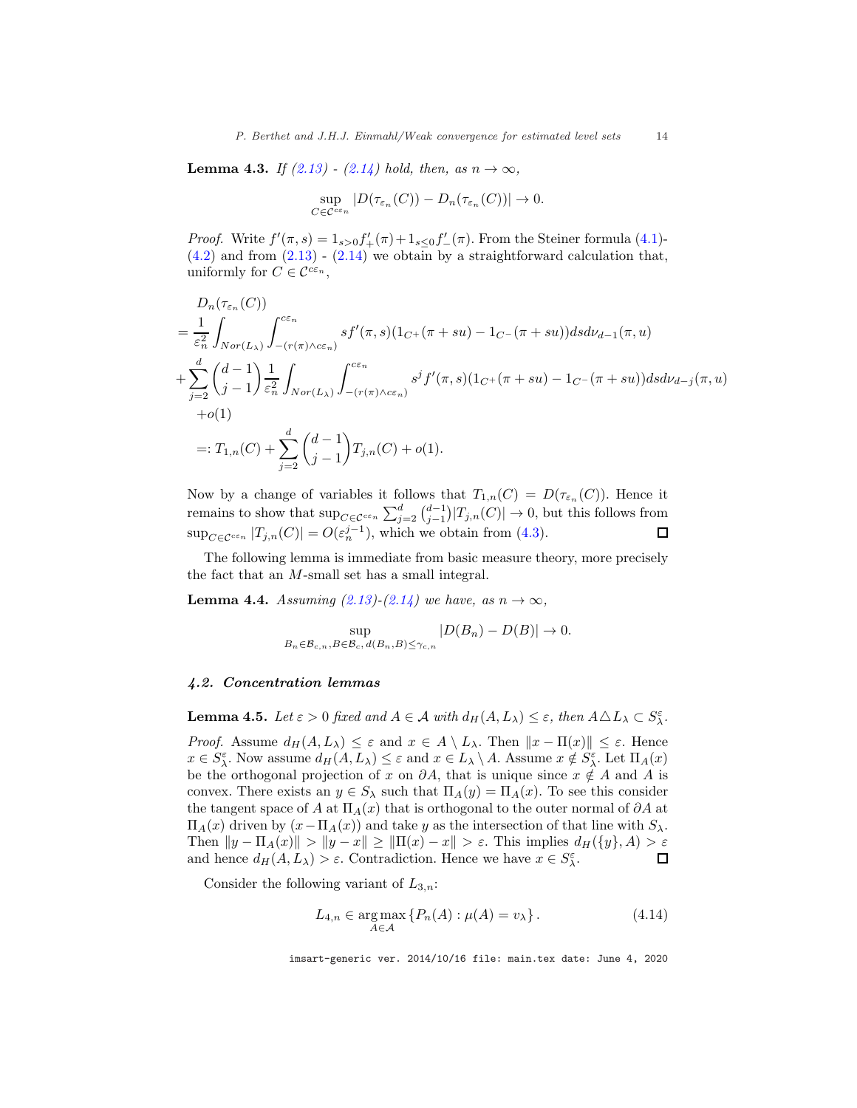<span id="page-13-2"></span>**Lemma 4.3.** *If* [\(2.13\)](#page-6-3) - [\(2.14\)](#page-6-4) hold, then, as n → ∞,

$$
\sup_{C \in \mathcal{C}^{\varepsilon \varepsilon_n}} |D(\tau_{\varepsilon_n}(C)) - D_n(\tau_{\varepsilon_n}(C))| \to 0.
$$

*Proof.* Write  $f'(\pi, s) = 1_{s>0} f'_{+}(\pi) + 1_{s \leq 0} f'_{-}(\pi)$ . From the Steiner formula [\(4.1\)](#page-11-0)- $(4.2)$  and from  $(2.13)$  -  $(2.14)$  we obtain by a straightforward calculation that, uniformly for  $C \in \mathcal{C}^{c\varepsilon_n}$ ,

$$
D_{n}(\tau_{\varepsilon_{n}}(C)) = \frac{1}{\varepsilon_{n}^{2}} \int_{Nor(L_{\lambda})} \int_{-(r(\pi)\wedge c\varepsilon_{n})}^{c\varepsilon_{n}} s f'(\pi, s)(1_{C^{+}}(\pi + su) - 1_{C^{-}}(\pi + su)) ds d\nu_{d-1}(\pi, u)
$$
  
+ 
$$
\sum_{j=2}^{d} {d-1 \choose j-1} \frac{1}{\varepsilon_{n}^{2}} \int_{Nor(L_{\lambda})} \int_{-(r(\pi)\wedge c\varepsilon_{n})}^{c\varepsilon_{n}} s^{j} f'(\pi, s)(1_{C^{+}}(\pi + su) - 1_{C^{-}}(\pi + su)) ds d\nu_{d-j}(\pi, u)
$$
  
+*o*(1)  
=:  $T_{1,n}(C) + \sum_{j=2}^{d} {d-1 \choose j-1} T_{j,n}(C) + o(1).$ 

Now by a change of variables it follows that  $T_{1,n}(C) = D(\tau_{\varepsilon_n}(C))$ . Hence it remains to show that  $\sup_{C \in \mathcal{C}^{c\varepsilon_n}} \sum_{j=2}^d {d-1 \choose j-1} |T_{j,n}(C)| \to 0$ , but this follows from  $\sup_{C \in \mathcal{C}^{\varepsilon_{\varepsilon_n}}} |T_{j,n}(C)| = O(\varepsilon_n^{j-1}),$  which we obtain from [\(4.3\)](#page-11-4).  $\Box$ 

The following lemma is immediate from basic measure theory, more precisely the fact that an M-small set has a small integral.

<span id="page-13-3"></span>**Lemma 4.4.** *Assuming*  $(2.13)$ *-* $(2.14)$  *we have, as*  $n \to \infty$ *,* 

$$
\sup_{B_n \in \mathcal{B}_{c,n}, B \in \mathcal{B}_c, d(B_n, B) \leq \gamma_{c,n}} |D(B_n) - D(B)| \to 0.
$$

#### <span id="page-13-0"></span>4.2. Concentration lemmas

<span id="page-13-1"></span>**Lemma 4.5.** *Let*  $\varepsilon > 0$  *fixed and*  $A \in \mathcal{A}$  *with*  $d_H(A, L_\lambda) \leq \varepsilon$ *, then*  $A \triangle L_\lambda \subset S_\lambda^{\varepsilon}$ *.* 

*Proof.* Assume  $d_H(A, L_\lambda) \leq \varepsilon$  and  $x \in A \setminus L_\lambda$ . Then  $||x - \Pi(x)|| \leq \varepsilon$ . Hence  $x \in S_{\lambda}^{\varepsilon}$ . Now assume  $d_H(A, L_{\lambda}) \leq \varepsilon$  and  $x \in L_{\lambda} \setminus A$ . Assume  $x \notin S_{\lambda}^{\varepsilon}$ . Let  $\Pi_A(x)$ be the orthogonal projection of x on  $\partial A$ , that is unique since  $x \notin A$  and A is convex. There exists an  $y \in S_\lambda$  such that  $\Pi_A(y) = \Pi_A(x)$ . To see this consider the tangent space of A at  $\Pi_A(x)$  that is orthogonal to the outer normal of  $\partial A$  at  $\Pi_A(x)$  driven by  $(x−Π_A(x))$  and take y as the intersection of that line with  $S_\lambda$ . Then  $||y - \Pi_A(x)|| > ||y - x|| \ge ||\Pi(x) - x|| > \varepsilon$ . This implies  $d_H({y}, A) > \varepsilon$ <br>and hence  $d_H(A, L_\lambda) > \varepsilon$ . Contradiction. Hence we have  $x \in S_\lambda^{\varepsilon}$ . and hence  $d_H(A, L_\lambda) > \varepsilon$ . Contradiction. Hence we have  $x \in S_\lambda^{\varepsilon}$ .

Consider the following variant of  $L_{3,n}$ :

<span id="page-13-4"></span>
$$
L_{4,n} \in \underset{A \in \mathcal{A}}{\arg \max} \left\{ P_n(A) : \mu(A) = v_{\lambda} \right\}. \tag{4.14}
$$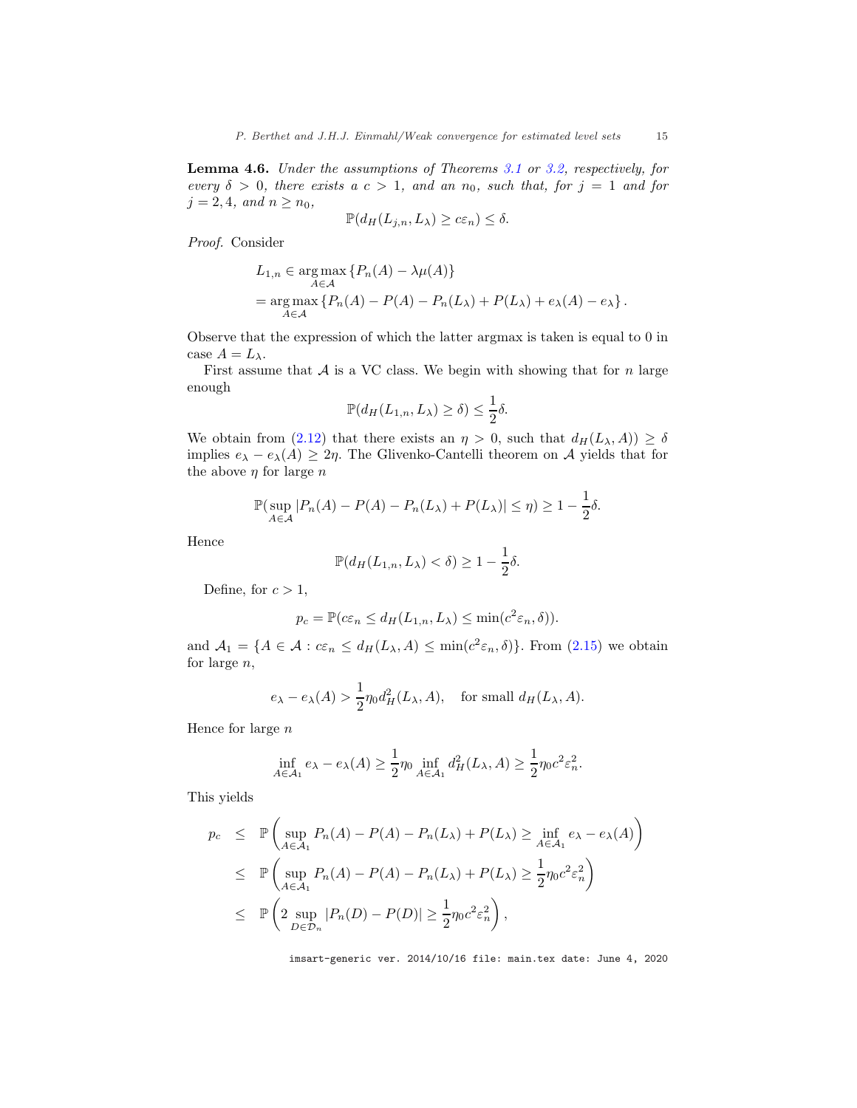<span id="page-14-0"></span>Lemma 4.6. *Under the assumptions of Theorems [3.1](#page-7-2) or [3.2,](#page-8-1) respectively, for every*  $\delta > 0$ *, there exists a*  $c > 1$ *, and an*  $n_0$ *, such that, for*  $j = 1$  *and for*  $j = 2, 4, and n \geq n_0$ ,

$$
\mathbb{P}(d_H(L_{j,n}, L_\lambda) \ge c\varepsilon_n) \le \delta.
$$

*Proof.* Consider

$$
L_{1,n} \in \underset{A \in \mathcal{A}}{\arg \max} \{ P_n(A) - \lambda \mu(A) \}
$$
  
= 
$$
\underset{A \in \mathcal{A}}{\arg \max} \{ P_n(A) - P(A) - P_n(L_\lambda) + P(L_\lambda) + e_\lambda(A) - e_\lambda \}.
$$

Observe that the expression of which the latter argmax is taken is equal to 0 in case  $A = L_{\lambda}$ .

First assume that  $A$  is a VC class. We begin with showing that for n large enough

$$
\mathbb{P}(d_H(L_{1,n}, L_\lambda) \ge \delta) \le \frac{1}{2}\delta.
$$

We obtain from [\(2.12\)](#page-6-2) that there exists an  $\eta > 0$ , such that  $d_H(L_\lambda, A) \geq \delta$ implies  $e_{\lambda} - e_{\lambda}(A) \geq 2\eta$ . The Glivenko-Cantelli theorem on A yields that for the above  $\eta$  for large  $n$ 

$$
\mathbb{P}(\sup_{A\in\mathcal{A}}|P_n(A)-P(A)-P_n(L_\lambda)+P(L_\lambda)|\leq\eta)\geq 1-\frac{1}{2}\delta.
$$

Hence

$$
\mathbb{P}(d_H(L_{1,n}, L_\lambda) < \delta) \ge 1 - \frac{1}{2}\delta.
$$

Define, for  $c > 1$ ,

$$
p_c = \mathbb{P}(c\varepsilon_n \le d_H(L_{1,n}, L_\lambda) \le \min(c^2 \varepsilon_n, \delta)).
$$

and  $A_1 = \{A \in \mathcal{A} : c\varepsilon_n \leq d_H(L_\lambda, A) \leq \min(c^2 \varepsilon_n, \delta)\}\.$  From [\(2.15\)](#page-6-5) we obtain for large n,

$$
e_{\lambda} - e_{\lambda}(A) > \frac{1}{2} \eta_0 d_H^2(L_{\lambda}, A)
$$
, for small  $d_H(L_{\lambda}, A)$ .

Hence for large  $n$ 

$$
\inf_{A \in \mathcal{A}_1} e_{\lambda} - e_{\lambda}(A) \ge \frac{1}{2} \eta_0 \inf_{A \in \mathcal{A}_1} d_H^2(L_{\lambda}, A) \ge \frac{1}{2} \eta_0 c^2 \varepsilon_n^2.
$$

This yields

$$
p_c \leq \mathbb{P}\left(\sup_{A \in \mathcal{A}_1} P_n(A) - P(A) - P_n(L_\lambda) + P(L_\lambda) \geq \inf_{A \in \mathcal{A}_1} e_\lambda - e_\lambda(A)\right)
$$
  
\n
$$
\leq \mathbb{P}\left(\sup_{A \in \mathcal{A}_1} P_n(A) - P(A) - P_n(L_\lambda) + P(L_\lambda) \geq \frac{1}{2} \eta_0 c^2 \varepsilon_n^2\right)
$$
  
\n
$$
\leq \mathbb{P}\left(2 \sup_{D \in \mathcal{D}_n} |P_n(D) - P(D)| \geq \frac{1}{2} \eta_0 c^2 \varepsilon_n^2\right),
$$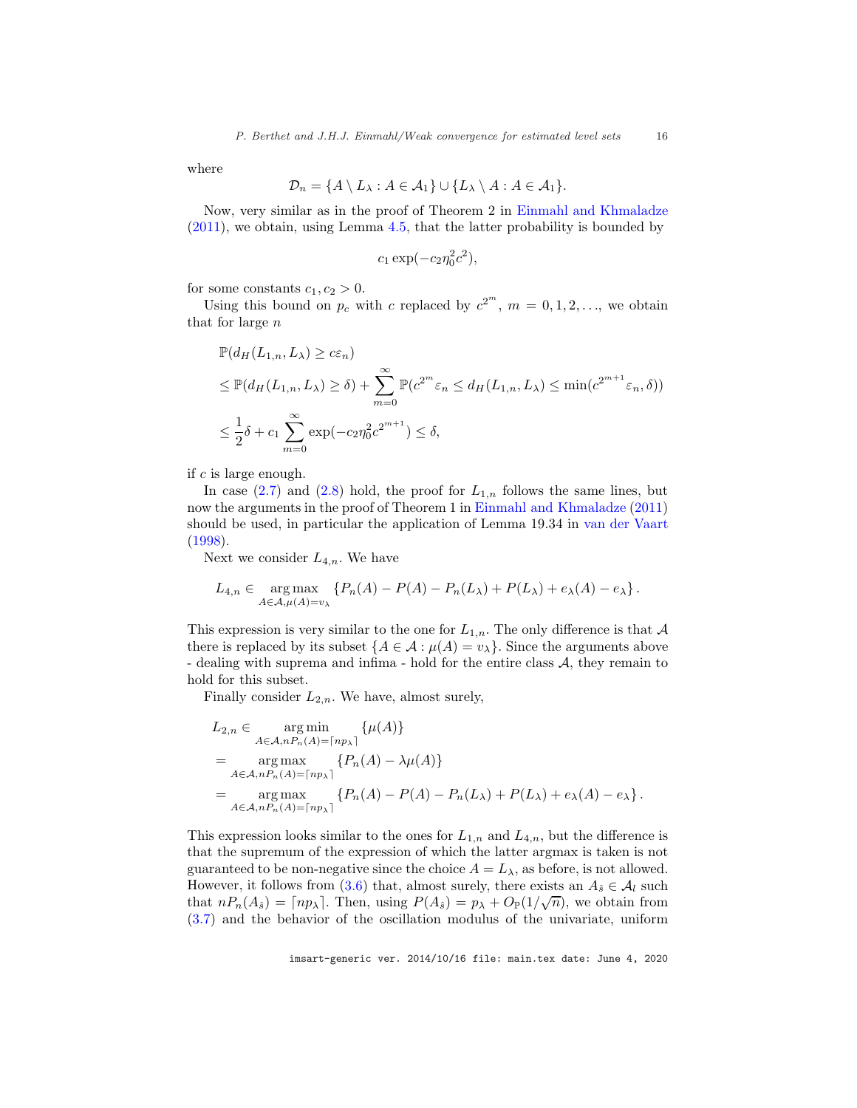where

$$
\mathcal{D}_n = \{A \setminus L_\lambda : A \in \mathcal{A}_1\} \cup \{L_\lambda \setminus A : A \in \mathcal{A}_1\}.
$$

Now, very similar as in the proof of Theorem 2 in [Einmahl and Khmaladze](#page-22-15) [\(2011\)](#page-22-15), we obtain, using Lemma [4.5,](#page-13-1) that the latter probability is bounded by

$$
c_1 \exp(-c_2 \eta_0^2 c^2),
$$

for some constants  $c_1, c_2 > 0$ .

Using this bound on  $p_c$  with c replaced by  $c^{2^m}$ ,  $m = 0, 1, 2, \ldots$ , we obtain that for large n

$$
\mathbb{P}(d_H(L_{1,n}, L_\lambda) \geq c\varepsilon_n)
$$
  
\n
$$
\leq \mathbb{P}(d_H(L_{1,n}, L_\lambda) \geq \delta) + \sum_{m=0}^{\infty} \mathbb{P}(c^{2^m}\varepsilon_n \leq d_H(L_{1,n}, L_\lambda) \leq \min(c^{2^{m+1}}\varepsilon_n, \delta))
$$
  
\n
$$
\leq \frac{1}{2}\delta + c_1 \sum_{m=0}^{\infty} \exp(-c_2 \eta_0^2 c^{2^{m+1}}) \leq \delta,
$$

if c is large enough.

In case  $(2.7)$  and  $(2.8)$  hold, the proof for  $L_{1,n}$  follows the same lines, but now the arguments in the proof of Theorem 1 in [Einmahl and Khmaladze](#page-22-15) [\(2011\)](#page-22-15) should be used, in particular the application of Lemma 19.34 in [van der Vaart](#page-22-20) [\(1998\)](#page-22-20).

Next we consider  $L_{4,n}$ . We have

$$
L_{4,n} \in \underset{A \in \mathcal{A}, \mu(A) = v_{\lambda}}{\arg \max} \left\{ P_n(A) - P(A) - P_n(L_{\lambda}) + P(L_{\lambda}) + e_{\lambda}(A) - e_{\lambda} \right\}.
$$

This expression is very similar to the one for  $L_{1,n}$ . The only difference is that A there is replaced by its subset  $\{A \in \mathcal{A} : \mu(A) = v_{\lambda}\}\)$ . Since the arguments above - dealing with suprema and infima - hold for the entire class  $A$ , they remain to hold for this subset.

Finally consider  $L_{2,n}$ . We have, almost surely,

$$
L_{2,n} \in \underset{A \in \mathcal{A}, nP_n(A) = \lceil np_\lambda \rceil}{\arg \min} \{ \mu(A) \}
$$
  
= 
$$
\underset{A \in \mathcal{A}, nP_n(A) = \lceil np_\lambda \rceil}{\arg \max} \{ P_n(A) - \lambda \mu(A) \}
$$
  
= 
$$
\underset{A \in \mathcal{A}, nP_n(A) = \lceil np_\lambda \rceil}{\arg \max} \{ P_n(A) - P(A) - P_n(L_\lambda) + P(L_\lambda) + e_\lambda(A) - e_\lambda \}.
$$

This expression looks similar to the ones for  $L_{1,n}$  and  $L_{4,n}$ , but the difference is that the supremum of the expression of which the latter argmax is taken is not guaranteed to be non-negative since the choice  $A = L_{\lambda}$ , as before, is not allowed. However, it follows from [\(3.6\)](#page-8-4) that, almost surely, there exists an  $A_{\hat{s}} \in \mathcal{A}_l$  such that  $nP_n(A_s) = \lceil np_\lambda \rceil$ . Then, using  $P(A_s) = p_\lambda + O_{\mathbb{P}}(1/\sqrt{n})$ , we obtain from [\(3.7\)](#page-8-5) and the behavior of the oscillation modulus of the univariate, uniform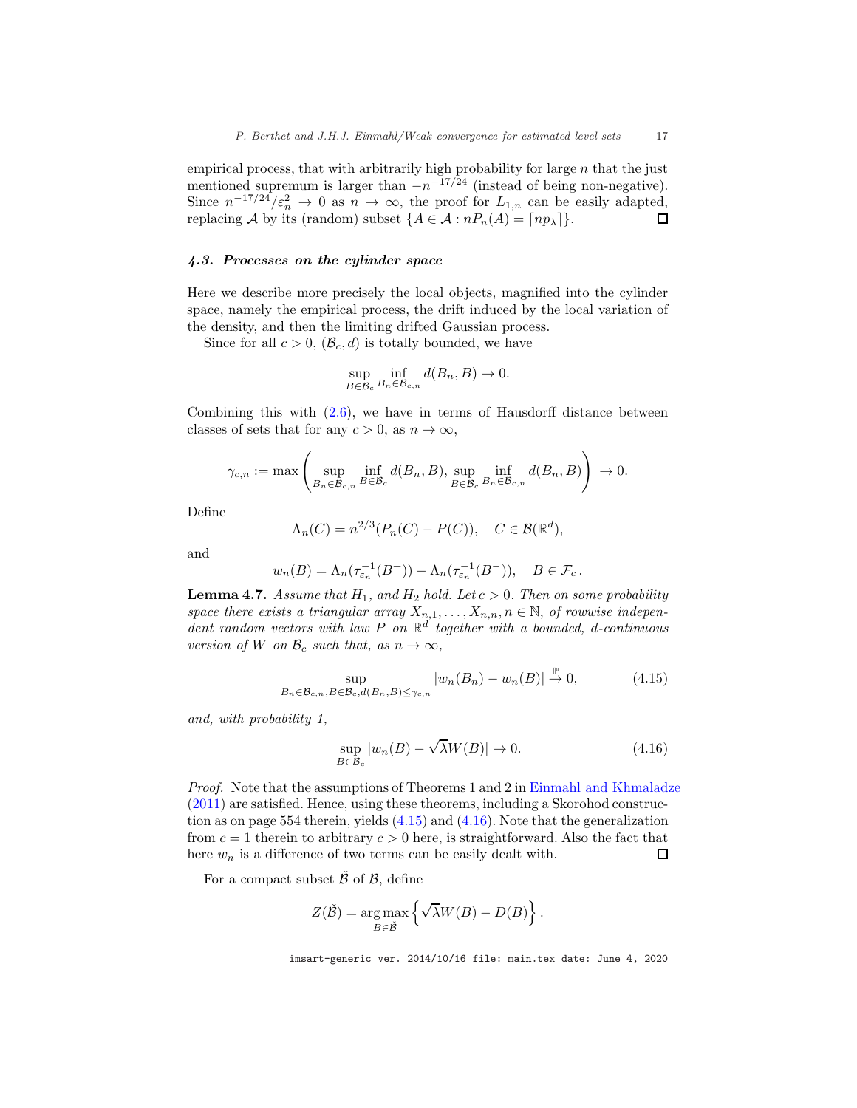empirical process, that with arbitrarily high probability for large  $n$  that the just mentioned supremum is larger than  $-n^{-17/24}$  (instead of being non-negative). Since  $n^{-17/24}/\varepsilon_n^2 \to 0$  as  $n \to \infty$ , the proof for  $L_{1,n}$  can be easily adapted, replacing A by its (random) subset  $\{A \in \mathcal{A} : nP_n(A) = \lceil np_\lambda \rceil\}.$ 

### <span id="page-16-0"></span>4.3. Processes on the cylinder space

Here we describe more precisely the local objects, magnified into the cylinder space, namely the empirical process, the drift induced by the local variation of the density, and then the limiting drifted Gaussian process.

Since for all  $c > 0$ ,  $(\mathcal{B}_c, d)$  is totally bounded, we have

$$
\sup_{B \in \mathcal{B}_c} \inf_{B_n \in \mathcal{B}_{c,n}} d(B_n, B) \to 0.
$$

Combining this with  $(2.6)$ , we have in terms of Hausdorff distance between classes of sets that for any  $c > 0$ , as  $n \to \infty$ ,

$$
\gamma_{c,n} := \max \left( \sup_{B_n \in \mathcal{B}_{c,n}} \inf_{B \in \mathcal{B}_c} d(B_n, B), \sup_{B \in \mathcal{B}_c} \inf_{B_n \in \mathcal{B}_{c,n}} d(B_n, B) \right) \to 0.
$$

Define

$$
\Lambda_n(C) = n^{2/3} (P_n(C) - P(C)), \quad C \in \mathcal{B}(\mathbb{R}^d),
$$

and

$$
w_n(B) = \Lambda_n(\tau_{\varepsilon_n}^{-1}(B^+)) - \Lambda_n(\tau_{\varepsilon_n}^{-1}(B^-)), \quad B \in \mathcal{F}_c.
$$

<span id="page-16-3"></span>**Lemma 4.7.** *Assume that*  $H_1$ *, and*  $H_2$  *hold. Let*  $c > 0$ *. Then on some probability space there exists a triangular array*  $X_{n,1}, \ldots, X_{n,n}, n \in \mathbb{N}$ , *of rowwise independent random vectors with law* P *on* R d *together with a bounded,* d*-continuous version of* W *on*  $\mathcal{B}_c$  *such that, as*  $n \to \infty$ *,* 

<span id="page-16-1"></span>
$$
\sup_{B_n \in \mathcal{B}_{c,n}, B \in \mathcal{B}_c, d(B_n, B) \le \gamma_{c,n}} |w_n(B_n) - w_n(B)| \stackrel{\mathbb{P}}{\to} 0,
$$
\n(4.15)

*and, with probability 1,*

<span id="page-16-2"></span>
$$
\sup_{B \in \mathcal{B}_c} |w_n(B) - \sqrt{\lambda} W(B)| \to 0. \tag{4.16}
$$

*Proof.* Note that the assumptions of Theorems 1 and 2 in [Einmahl and Khmaladze](#page-22-15) [\(2011\)](#page-22-15) are satisfied. Hence, using these theorems, including a Skorohod construction as on page 554 therein, yields [\(4.15\)](#page-16-1) and [\(4.16\)](#page-16-2). Note that the generalization from  $c = 1$  therein to arbitrary  $c > 0$  here, is straightforward. Also the fact that here  $w_n$  is a difference of two terms can be easily dealt with.  $\Box$ 

For a compact subset  $\check{\beta}$  of  $\beta$ , define

$$
Z(\check{B}) = \underset{B \in \check{B}}{\arg \max} \left\{ \sqrt{\lambda} W(B) - D(B) \right\}.
$$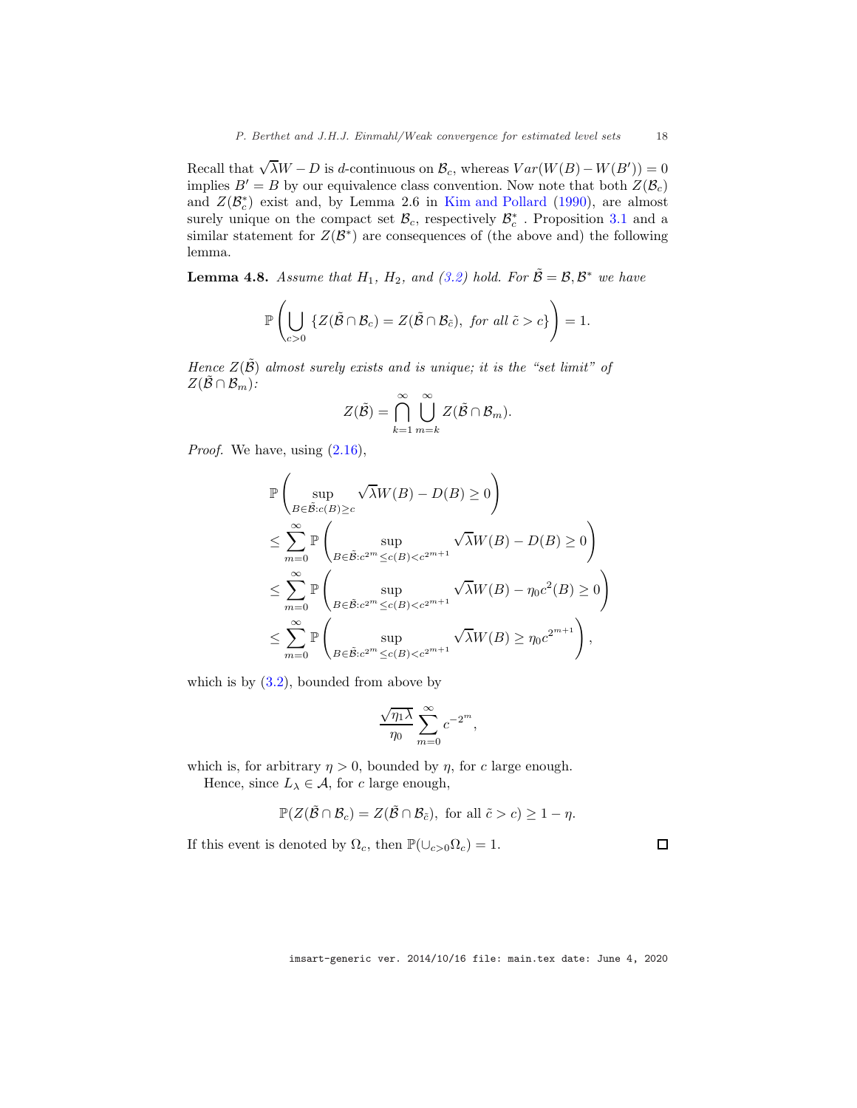Recall that  $\sqrt{\lambda}W - D$  is d-continuous on  $\mathcal{B}_c$ , whereas  $Var(W(B) - W(B')) = 0$ implies  $B' = B$  by our equivalence class convention. Now note that both  $Z(\mathcal{B}_c)$ and  $Z(\mathcal{B}_{c}^{*})$  exist and, by Lemma 2.6 in [Kim and Pollard](#page-22-12) [\(1990](#page-22-12)), are almost surely unique on the compact set  $\mathcal{B}_c$ , respectively  $\mathcal{B}_c^*$ . Proposition [3.1](#page-7-6) and a similar statement for  $Z(\mathcal{B}^*)$  are consequences of (the above and) the following lemma.

<span id="page-17-0"></span>**Lemma 4.8.** Assume that  $H_1$ ,  $H_2$ , and [\(3.2\)](#page-7-4) hold. For  $\tilde{B} = \mathcal{B}, \mathcal{B}^*$  we have

$$
\mathbb{P}\left(\bigcup_{c>0} \left\{Z(\tilde{\mathcal{B}} \cap \mathcal{B}_c) = Z(\tilde{\mathcal{B}} \cap \mathcal{B}_{\tilde{c}}), \text{ for all } \tilde{c} > c\right\}\right) = 1.
$$

*Hence*  $Z(\tilde{\mathcal{B}})$  *almost surely exists and is unique; it is the "set limit" of*  $Z(\tilde{\mathcal{B}} \cap \mathcal{B}_m)$ :

$$
Z(\tilde{\mathcal{B}})=\bigcap_{k=1}^{\infty}\bigcup_{m=k}^{\infty}Z(\tilde{\mathcal{B}}\cap\mathcal{B}_m).
$$

*Proof.* We have, using  $(2.16)$ ,

$$
\mathbb{P}\left(\sup_{B\in\tilde{\mathcal{B}}:c(B)\geq c} \sqrt{\lambda}W(B) - D(B) \geq 0\right)
$$
\n
$$
\leq \sum_{m=0}^{\infty} \mathbb{P}\left(\sup_{B\in\tilde{\mathcal{B}}:c^{2^m}\leq c(B)\n
$$
\leq \sum_{m=0}^{\infty} \mathbb{P}\left(\sup_{B\in\tilde{\mathcal{B}}:c^{2^m}\leq c(B)\n
$$
\leq \sum_{m=0}^{\infty} \mathbb{P}\left(\sup_{B\in\tilde{\mathcal{B}}:c^{2^m}\leq c(B)
$$
$$
$$

which is by  $(3.2)$ , bounded from above by

$$
\frac{\sqrt{\eta_1 \lambda}}{\eta_0} \sum_{m=0}^{\infty} c^{-2^m},
$$

which is, for arbitrary  $\eta > 0$ , bounded by  $\eta$ , for c large enough.

Hence, since  $L_{\lambda} \in \mathcal{A}$ , for c large enough,

$$
\mathbb{P}(Z(\tilde{\mathcal{B}} \cap \mathcal{B}_c) = Z(\tilde{\mathcal{B}} \cap \mathcal{B}_{\tilde{c}}), \text{ for all } \tilde{c} > c) \geq 1 - \eta.
$$

If this event is denoted by  $\Omega_c$ , then  $\mathbb{P}(\cup_{c>0}\Omega_c)=1$ .

imsart-generic ver. 2014/10/16 file: main.tex date: June 4, 2020

 $\Box$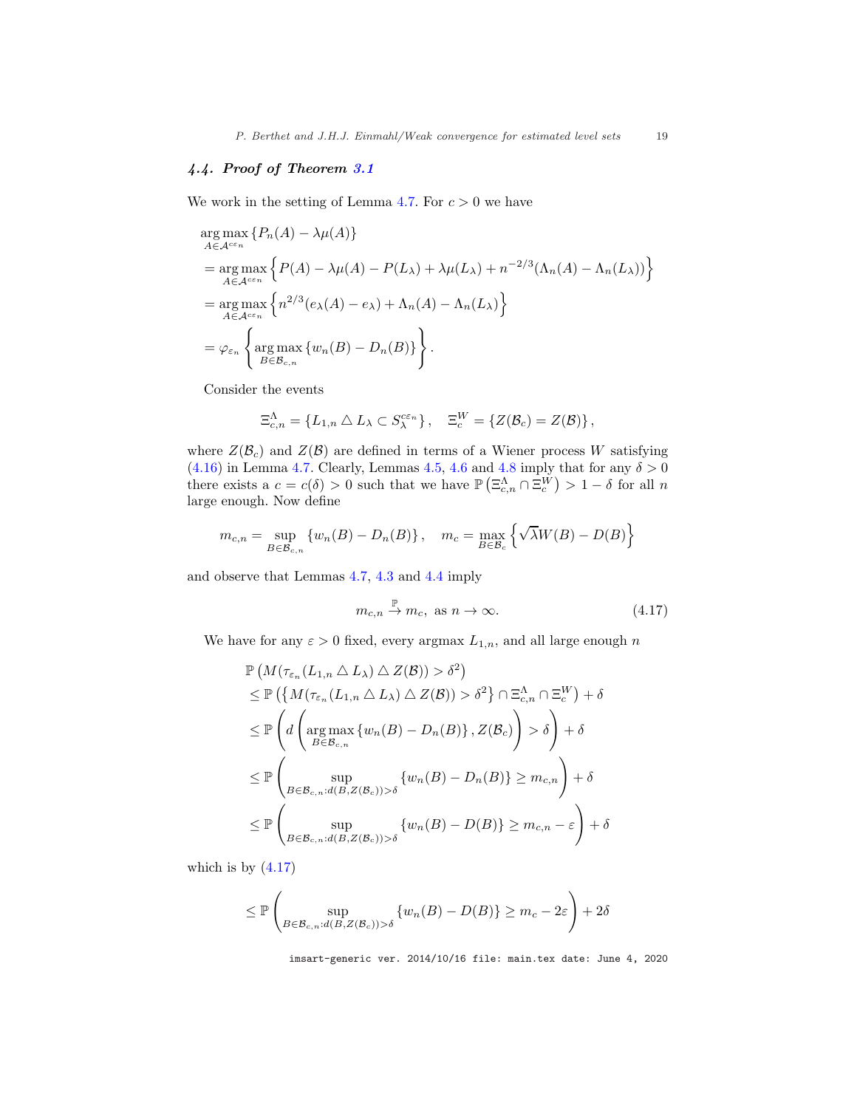# <span id="page-18-0"></span>4.4. Proof of Theorem [3.1](#page-7-2)

We work in the setting of Lemma [4.7.](#page-16-3) For  $c > 0$  we have

$$
\arg\max_{A \in \mathcal{A}^{c\epsilon_n}} \{P_n(A) - \lambda \mu(A)\}
$$
\n
$$
= \arg\max_{A \in \mathcal{A}^{c\epsilon_n}} \{P(A) - \lambda \mu(A) - P(L_\lambda) + \lambda \mu(L_\lambda) + n^{-2/3}(\Lambda_n(A) - \Lambda_n(L_\lambda))\}
$$
\n
$$
= \arg\max_{A \in \mathcal{A}^{c\epsilon_n}} \{n^{2/3}(e_\lambda(A) - e_\lambda) + \Lambda_n(A) - \Lambda_n(L_\lambda)\}
$$
\n
$$
= \varphi_{\varepsilon_n} \{ \arg\max_{B \in \mathcal{B}_{c,n}} \{w_n(B) - D_n(B)\} \}.
$$

Consider the events

$$
\Xi_{c,n}^{\Lambda} = \{L_{1,n} \wedge L_{\lambda} \subset S_{\lambda}^{c\varepsilon_n}\}, \quad \Xi_c^W = \{Z(\mathcal{B}_c) = Z(\mathcal{B})\},
$$

where  $Z(\mathcal{B}_c)$  and  $Z(\mathcal{B})$  are defined in terms of a Wiener process W satisfying  $(4.16)$  in Lemma [4.7.](#page-16-3) Clearly, Lemmas [4.5,](#page-13-1) [4.6](#page-14-0) and [4.8](#page-17-0) imply that for any  $\delta > 0$ there exists a  $c = c(\delta) > 0$  such that we have  $\mathbb{P}(\Xi_{c,n}^{\Lambda} \cap \Xi_{c}^{W}) > 1 - \delta$  for all n large enough. Now define

$$
m_{c,n} = \sup_{B \in \mathcal{B}_{c,n}} \{ w_n(B) - D_n(B) \}, \quad m_c = \max_{B \in \mathcal{B}_c} \left\{ \sqrt{\lambda} W(B) - D(B) \right\}
$$

and observe that Lemmas [4.7,](#page-16-3) [4.3](#page-13-2) and [4.4](#page-13-3) imply

<span id="page-18-1"></span>
$$
m_{c,n} \stackrel{\mathbb{P}}{\to} m_c, \text{ as } n \to \infty. \tag{4.17}
$$

We have for any  $\varepsilon > 0$  fixed, every argmax  $L_{1,n}$ , and all large enough n

$$
\mathbb{P}\left(M(\tau_{\varepsilon_n}(L_{1,n} \triangle L_{\lambda}) \triangle Z(\mathcal{B})) > \delta^2\right)
$$
\n
$$
\leq \mathbb{P}\left(\left\{M(\tau_{\varepsilon_n}(L_{1,n} \triangle L_{\lambda}) \triangle Z(\mathcal{B})) > \delta^2\right\} \cap \Xi_{c,n}^{\Lambda} \cap \Xi_c^W\right) + \delta
$$
\n
$$
\leq \mathbb{P}\left(d\left(\underset{B \in \mathcal{B}_{c,n}}{\arg \max} \{w_n(B) - D_n(B)\}, Z(\mathcal{B}_c)\right) > \delta\right) + \delta
$$
\n
$$
\leq \mathbb{P}\left(\underset{B \in \mathcal{B}_{c,n}: d(B, Z(\mathcal{B}_c)) > \delta}{\sup} \{w_n(B) - D_n(B)\} \geq m_{c,n}\right) + \delta
$$
\n
$$
\leq \mathbb{P}\left(\underset{B \in \mathcal{B}_{c,n}: d(B, Z(\mathcal{B}_c)) > \delta}{\sup} \{w_n(B) - D(B)\} \geq m_{c,n} - \varepsilon\right) + \delta
$$

which is by  $(4.17)$ 

$$
\leq \mathbb{P}\left(\sup_{B\in\mathcal{B}_{c,n}:d(B,Z(\mathcal{B}_c))>\delta}\left\{w_n(B)-D(B)\right\}\geq m_c-2\varepsilon\right)+2\delta
$$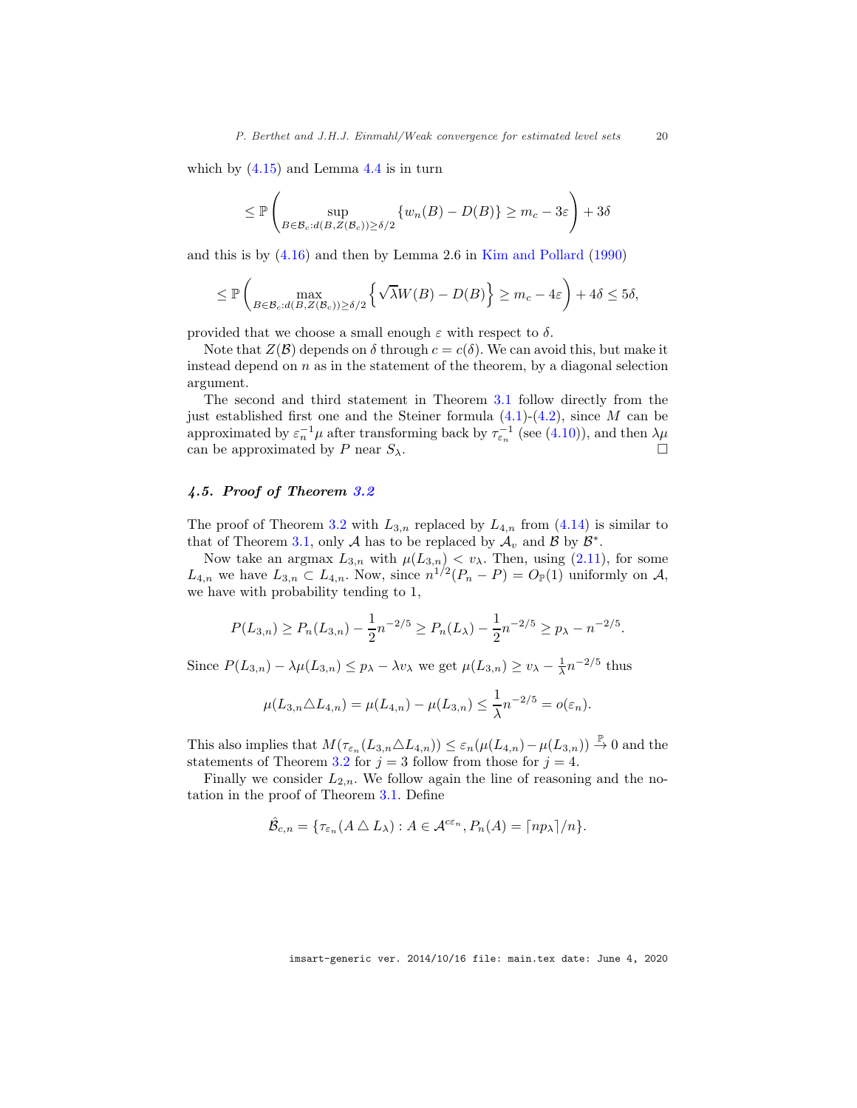which by  $(4.15)$  and Lemma [4.4](#page-13-3) is in turn

$$
\leq \mathbb{P}\left(\sup_{B\in\mathcal{B}_c:d(B,Z(\mathcal{B}_c))\geq \delta/2}\left\{w_n(B)-D(B)\right\}\geq m_c-3\varepsilon\right)+3\delta
$$

and this is by [\(4.16\)](#page-16-2) and then by Lemma 2.6 in [Kim and Pollard](#page-22-12) [\(1990\)](#page-22-12)

$$
\leq \mathbb{P}\left(\max_{B\in\mathcal{B}_c:d(B,Z(\mathcal{B}_c))\geq \delta/2}\left\{\sqrt{\lambda}W(B)-D(B)\right\}\geq m_c-4\varepsilon\right)+4\delta\leq 5\delta,
$$

provided that we choose a small enough  $\varepsilon$  with respect to  $\delta$ .

Note that  $Z(\mathcal{B})$  depends on  $\delta$  through  $c = c(\delta)$ . We can avoid this, but make it instead depend on  $n$  as in the statement of the theorem, by a diagonal selection argument.

The second and third statement in Theorem [3.1](#page-7-2) follow directly from the just established first one and the Steiner formula  $(4.1)-(4.2)$  $(4.1)-(4.2)$ , since M can be approximated by  $\varepsilon_n^{-1}\mu$  after transforming back by  $\tau_{\varepsilon_n}^{-1}$  (see [\(4.10\)](#page-12-2)), and then  $\lambda\mu$ can be approximated by P near  $S_{\lambda}$ .

## <span id="page-19-0"></span>4.5. Proof of Theorem [3.2](#page-8-1)

The proof of Theorem [3.2](#page-8-1) with  $L_{3,n}$  replaced by  $L_{4,n}$  from [\(4.14\)](#page-13-4) is similar to that of Theorem [3.1,](#page-7-2) only A has to be replaced by  $\mathcal{A}_v$  and B by  $\mathcal{B}^*$ .

Now take an argmax  $L_{3,n}$  with  $\mu(L_{3,n}) < v_\lambda$ . Then, using [\(2.11\)](#page-6-1), for some  $L_{4,n}$  we have  $L_{3,n} \subset L_{4,n}$ . Now, since  $n^{1/2}(P_n - P) = O_{\mathbb{P}}(1)$  uniformly on A, we have with probability tending to 1,

$$
P(L_{3,n}) \ge P_n(L_{3,n}) - \frac{1}{2}n^{-2/5} \ge P_n(L_\lambda) - \frac{1}{2}n^{-2/5} \ge p_\lambda - n^{-2/5}.
$$

Since  $P(L_{3,n}) - \lambda \mu(L_{3,n}) \leq p_{\lambda} - \lambda v_{\lambda}$  we get  $\mu(L_{3,n}) \geq v_{\lambda} - \frac{1}{\lambda} n^{-2/5}$  thus

$$
\mu(L_{3,n} \triangle L_{4,n}) = \mu(L_{4,n}) - \mu(L_{3,n}) \le \frac{1}{\lambda} n^{-2/5} = o(\varepsilon_n).
$$

This also implies that  $M(\tau_{\varepsilon_n}(L_{3,n} \triangle L_{4,n})) \leq \varepsilon_n(\mu(L_{4,n}) - \mu(L_{3,n})) \stackrel{\mathbb{P}}{\rightarrow} 0$  and the statements of Theorem [3.2](#page-8-1) for  $j = 3$  follow from those for  $j = 4$ .

Finally we consider  $L_{2,n}$ . We follow again the line of reasoning and the notation in the proof of Theorem [3.1.](#page-7-2) Define

$$
\hat{\mathcal{B}}_{c,n} = \{ \tau_{\varepsilon_n}(A \bigtriangleup L_\lambda) : A \in \mathcal{A}^{c\varepsilon_n}, P_n(A) = \lceil np_\lambda \rceil / n \}.
$$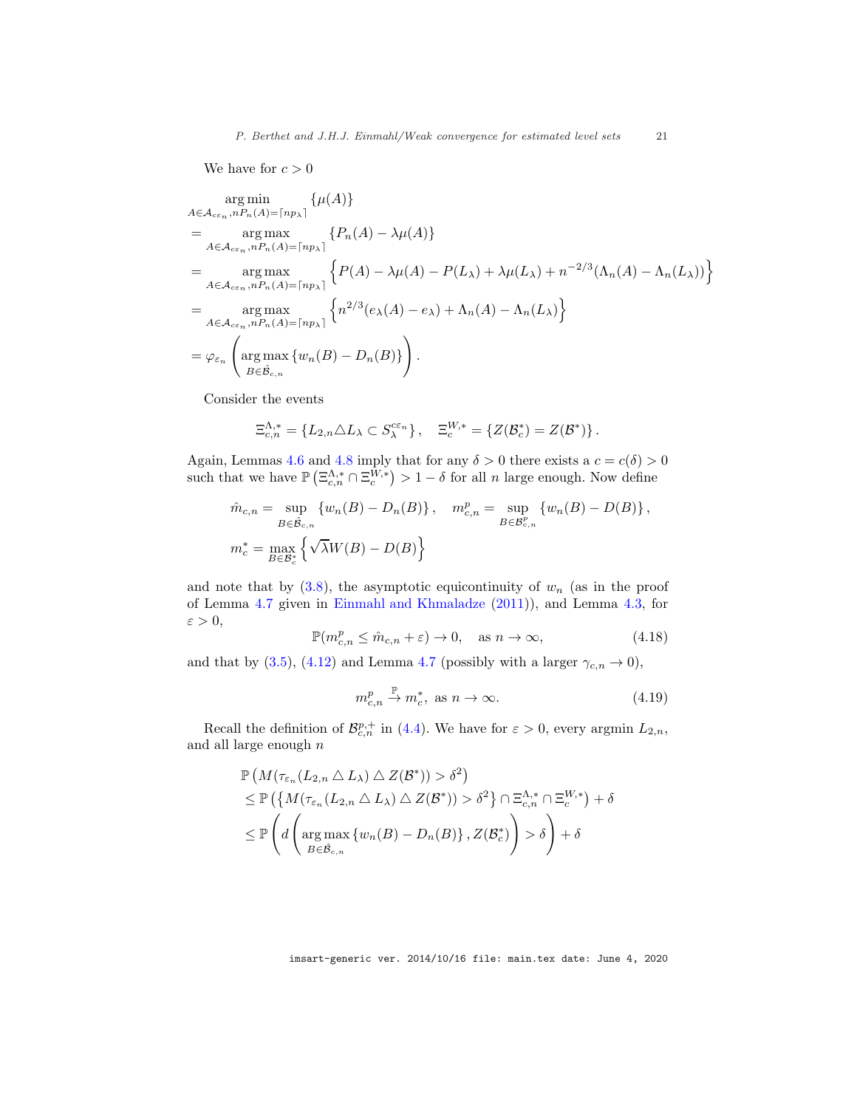We have for  $c>0$ 

$$
\arg\min_{A \in \mathcal{A}_{c\varepsilon_n}, nP_n(A) = \lceil np_\lambda \rceil} {\{\mu(A)\}}
$$
\n
$$
= \arg\max_{A \in \mathcal{A}_{c\varepsilon_n}, nP_n(A) = \lceil np_\lambda \rceil} {\{P_n(A) - \lambda\mu(A)\}}
$$
\n
$$
= \arg\max_{A \in \mathcal{A}_{c\varepsilon_n}, nP_n(A) = \lceil np_\lambda \rceil} {\{\mu(A) - \lambda\mu(A) - P(L_\lambda) + \lambda\mu(L_\lambda) + n^{-2/3}(\Lambda_n(A) - \Lambda_n(L_\lambda))\}}
$$
\n
$$
= \arg\max_{A \in \mathcal{A}_{c\varepsilon_n}, nP_n(A) = \lceil np_\lambda \rceil} {\{n^{2/3}(e_\lambda(A) - e_\lambda) + \Lambda_n(A) - \Lambda_n(L_\lambda)\}}
$$
\n
$$
= \varphi_{\varepsilon_n} {\arg\max_{B \in \mathcal{B}_{c,n}} {\{w_n(B) - D_n(B)\}} }.
$$

Consider the events

$$
\Xi_{c,n}^{\Lambda,*} = \{L_{2,n} \triangle L_{\lambda} \subset S_{\lambda}^{c\varepsilon_n}\}, \quad \Xi_c^{W,*} = \{Z(\mathcal{B}_c^*) = Z(\mathcal{B}^*)\}.
$$

Again, Lemmas [4.6](#page-14-0) and [4.8](#page-17-0) imply that for any  $\delta > 0$  there exists a  $c = c(\delta) > 0$ such that we have  $\mathbb{P}\left(\Xi_{c,n}^{\Lambda,*} \cap \Xi_c^{W,*}\right) > 1-\delta$  for all n large enough. Now define

$$
\hat{m}_{c,n} = \sup_{B \in \hat{\mathcal{B}}_{c,n}} \{ w_n(B) - D_n(B) \}, \quad m_{c,n}^p = \sup_{B \in \mathcal{B}_{c,n}^p} \{ w_n(B) - D(B) \},
$$
  

$$
m_c^* = \max_{B \in \mathcal{B}_c^*} \{ \sqrt{\lambda} W(B) - D(B) \}
$$

and note that by  $(3.8)$ , the asymptotic equicontinuity of  $w_n$  (as in the proof of Lemma [4.7](#page-16-3) given in [Einmahl and Khmaladze](#page-22-15) [\(2011\)](#page-22-15)), and Lemma [4.3,](#page-13-2) for  $\varepsilon > 0$ ,

<span id="page-20-0"></span>
$$
\mathbb{P}(m_{c,n}^p \le \hat{m}_{c,n} + \varepsilon) \to 0, \quad \text{as } n \to \infty,
$$
\n(4.18)

and that by [\(3.5\)](#page-8-6), [\(4.12\)](#page-12-1) and Lemma [4.7](#page-16-3) (possibly with a larger  $\gamma_{c,n} \to 0$ ),

<span id="page-20-1"></span>
$$
m_{c,n}^p \stackrel{\mathbb{P}}{\to} m_c^*, \text{ as } n \to \infty. \tag{4.19}
$$

Recall the definition of  $\mathcal{B}_{c,n}^{p,+}$  in [\(4.4\)](#page-11-7). We have for  $\varepsilon > 0$ , every argmin  $L_{2,n}$ , and all large enough  $n$ 

$$
\mathbb{P}\left(M(\tau_{\varepsilon_n}(L_{2,n} \triangle L_{\lambda}) \triangle Z(\mathcal{B}^*)) > \delta^2\right) \n\leq \mathbb{P}\left(\left\{M(\tau_{\varepsilon_n}(L_{2,n} \triangle L_{\lambda}) \triangle Z(\mathcal{B}^*)) > \delta^2\right\} \cap \Xi_{c,n}^{\Lambda,*} \cap \Xi_c^{W,*}\right) + \delta \n\leq \mathbb{P}\left(d\left(\underset{B \in \hat{\mathcal{B}}_{c,n}}{\arg \max} \{w_n(B) - D_n(B)\}, Z(\mathcal{B}_c^*)\right) > \delta\right) + \delta
$$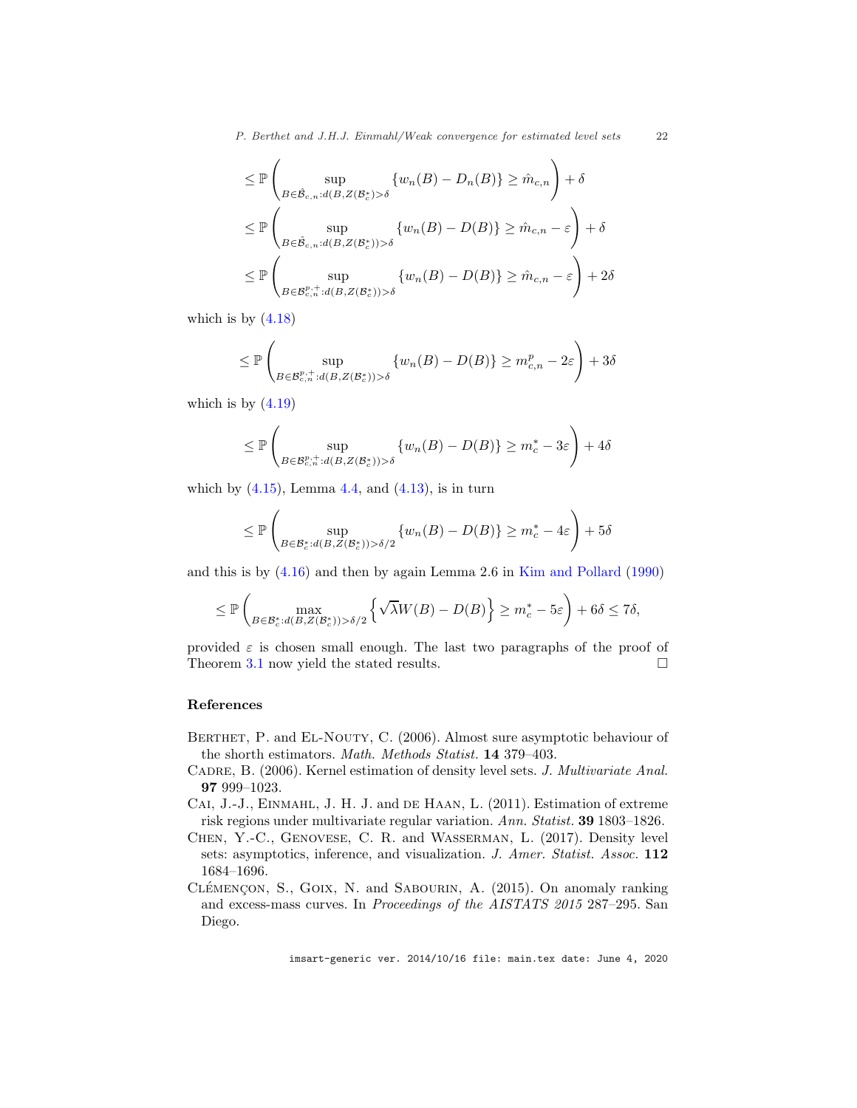*P. Berthet and J.H.J. Einmahl/Weak convergence for estimated level sets* 22

$$
\leq \mathbb{P}\left(\sup_{B\in \hat{\mathcal{B}}_{c,n}:d(B,Z(\mathcal{B}_c^*)>\delta}\{w_n(B)-D_n(B)\}\geq \hat{m}_{c,n}\right)+\delta
$$
  

$$
\leq \mathbb{P}\left(\sup_{B\in \hat{\mathcal{B}}_{c,n}:d(B,Z(\mathcal{B}_c^*))>\delta}\{w_n(B)-D(B)\}\geq \hat{m}_{c,n}-\varepsilon\right)+\delta
$$
  

$$
\leq \mathbb{P}\left(\sup_{B\in \mathcal{B}_{c,n}^{p,+}:d(B,Z(\mathcal{B}_c^*))>\delta}\{w_n(B)-D(B)\}\geq \hat{m}_{c,n}-\varepsilon\right)+2\delta
$$

which is by  $(4.18)$ 

$$
\leq \mathbb{P}\left(\sup_{B\in\mathcal{B}_{c,n}^{p,+}:d(B,Z(\mathcal{B}_c^*))>\delta}\{w_n(B)-D(B)\}\geq m_{c,n}^p-2\varepsilon\right)+3\delta
$$

which is by  $(4.19)$ 

$$
\leq \mathbb{P}\left(\sup_{B\in\mathcal{B}_{c,n}^{p,+}:d(B,Z(\mathcal{B}_{c}^{*}))>\delta}\{w_{n}(B)-D(B)\}\geq m_{c}^{*}-3\varepsilon\right)+4\delta
$$

which by  $(4.15)$ , Lemma [4.4,](#page-13-3) and  $(4.13)$ , is in turn

$$
\leq \mathbb{P}\left(\sup_{B\in\mathcal{B}_c^*: d(B,Z(\mathcal{B}_c^*))>\delta/2} \{w_n(B)-D(B)\}\geq m_c^*-4\varepsilon\right)+5\delta
$$

and this is by [\(4.16\)](#page-16-2) and then by again Lemma 2.6 in [Kim and Pollard](#page-22-12) [\(1990](#page-22-12))

$$
\leq \mathbb{P}\left(\max_{B\in\mathcal{B}_c^*:d(B,Z(\mathcal{B}_c^*))>\delta/2}\left\{\sqrt{\lambda}W(B)-D(B)\right\}\geq m_c^*-5\varepsilon\right)+6\delta\leq 7\delta,
$$

provided  $\varepsilon$  is chosen small enough. The last two paragraphs of the proof of Theorem [3.1](#page-7-2) now yield the stated results.

#### <span id="page-21-0"></span>References

- <span id="page-21-5"></span>BERTHET, P. and EL-NOUTY, C. (2006). Almost sure asymptotic behaviour of the shorth estimators. *Math. Methods Statist.* 14 379–403.
- <span id="page-21-1"></span>Cadre, B. (2006). Kernel estimation of density level sets. *J. Multivariate Anal.* 97 999–1023.
- <span id="page-21-2"></span>CAI, J.-J., EINMAHL, J. H. J. and DE HAAN, L. (2011). Estimation of extreme risk regions under multivariate regular variation. *Ann. Statist.* 39 1803–1826.
- <span id="page-21-3"></span>Chen, Y.-C., Genovese, C. R. and Wasserman, L. (2017). Density level sets: asymptotics, inference, and visualization. *J. Amer. Statist. Assoc.* 112 1684–1696.
- <span id="page-21-4"></span>CLÉMENÇON, S., GOIX, N. and SABOURIN, A. (2015). On anomaly ranking and excess-mass curves. In *Proceedings of the AISTATS 2015* 287–295. San Diego.